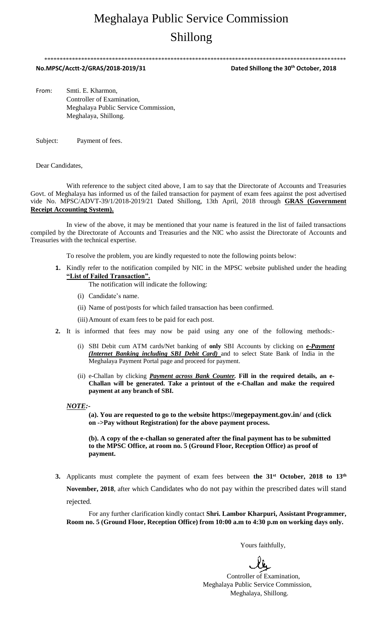# Meghalaya Public Service Commission Shillong

\*\*\*\*\*\*\*\*\*\*\*\*\*\*\*\*\*\*\*\*\*\*\*\*\*\*\*\*\*\*\*\*\*\*\*\*\*\*\*\*\*\*\*\*\*\*\*\*\*\*\*\*\*\*\*\*\*\*\*\*\*\*\*\*\*\*\*\*\*\*\*\*\*\*\*\*\*\*\*\*\*\*\*\*\*\*\*\*\*\*\*\*\*\*\*\*\*\*

**No.MPSC/Acctt-2/GRAS/2018-2019/31 Dated Shillong the 30th October, 2018**

From: Smti. E. Kharmon, Controller of Examination, Meghalaya Public Service Commission, Meghalaya, Shillong.

Subject: Payment of fees.

Dear Candidates,

With reference to the subject cited above, I am to say that the Directorate of Accounts and Treasuries Govt. of Meghalaya has informed us of the failed transaction for payment of exam fees against the post advertised vide No. MPSC/ADVT-39/1/2018-2019/21 Dated Shillong, 13th April, 2018 through **GRAS (Government Receipt Accounting System).**

In view of the above, it may be mentioned that your name is featured in the list of failed transactions compiled by the Directorate of Accounts and Treasuries and the NIC who assist the Directorate of Accounts and Treasuries with the technical expertise.

To resolve the problem, you are kindly requested to note the following points below:

**1.** Kindly refer to the notification compiled by NIC in the MPSC website published under the heading **"List of Failed Transaction".**

The notification will indicate the following:

- (i) Candidate's name.
- (ii) Name of post/posts for which failed transaction has been confirmed.
- (iii)Amount of exam fees to be paid for each post.
- **2.** It is informed that fees may now be paid using any one of the following methods:-
	- (i) SBI Debit cum ATM cards/Net banking of **only** SBI Accounts by clicking on *e-Payment (Internet Banking including SBI Debit Card)* and to select State Bank of India in the Meghalaya Payment Portal page and proceed for payment.
	- (ii) e-Challan by clicking *Payment across Bank Counter.* **Fill in the required details, an e-Challan will be generated. Take a printout of the e-Challan and make the required payment at any branch of SBI.**

*NOTE:-*

**(a). You are requested to go to the website https://megepayment.gov.in/ and (click on ->Pay without Registration) for the above payment process.**

**(b). A copy of the e-challan so generated after the final payment has to be submitted to the MPSC Office, at room no. 5 (Ground Floor, Reception Office) as proof of payment.**

**3.** Applicants must complete the payment of exam fees between **the 31st October, 2018 to 13 th November, 2018**, after which Candidates who do not pay within the prescribed dates will stand rejected.

For any further clarification kindly contact **Shri. Lambor Kharpuri, Assistant Programmer, Room no. 5 (Ground Floor, Reception Office) from 10:00 a.m to 4:30 p.m on working days only.**

Yours faithfully,

 Controller of Examination, Meghalaya Public Service Commission, Meghalaya, Shillong.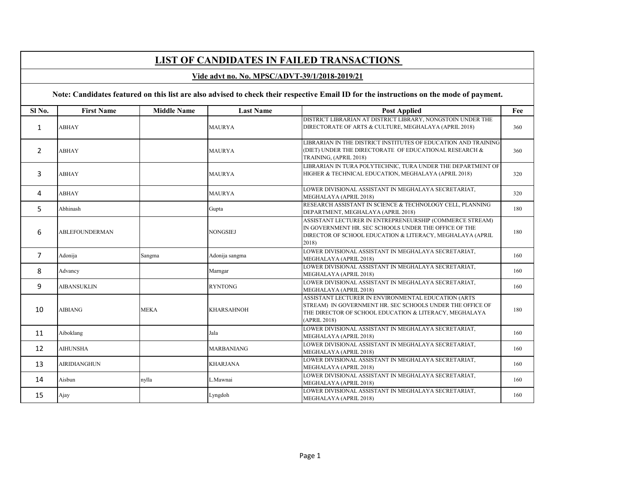# **LIST OF CANDIDATES IN FAILED TRANSACTIONS**

### **Vide advt no. No. MPSC/ADVT-39/1/2018-2019/21**

## Note: Candidates featured on this list are also advised to check their respective Email ID for the instructions on the mode of payment.

| Sl <sub>No.</sub> | <b>First Name</b>     | <b>Middle Name</b> | <b>Last Name</b>  | <b>Post Applied</b>                                                                                                                                                                        | Fee |
|-------------------|-----------------------|--------------------|-------------------|--------------------------------------------------------------------------------------------------------------------------------------------------------------------------------------------|-----|
| $\mathbf{1}$      | <b>ABHAY</b>          |                    | <b>MAURYA</b>     | DISTRICT LIBRARIAN AT DISTRICT LIBRARY, NONGSTOIN UNDER THE<br>DIRECTORATE OF ARTS & CULTURE, MEGHALAYA (APRIL 2018)                                                                       | 360 |
| $\overline{2}$    | <b>ABHAY</b>          |                    | <b>MAURYA</b>     | LIBRARIAN IN THE DISTRICT INSTITUTES OF EDUCATION AND TRAINING<br>(DIET) UNDER THE DIRECTORATE OF EDUCATIONAL RESEARCH &<br>TRAINING, (APRIL 2018)                                         | 360 |
| 3                 | <b>ABHAY</b>          |                    | <b>MAURYA</b>     | LIBRARIAN IN TURA POLYTECHNIC, TURA UNDER THE DEPARTMENT OF<br>HIGHER & TECHNICAL EDUCATION, MEGHALAYA (APRIL 2018)                                                                        | 320 |
| 4                 | <b>ABHAY</b>          |                    | <b>MAURYA</b>     | LOWER DIVISIONAL ASSISTANT IN MEGHALAYA SECRETARIAT,<br>MEGHALAYA (APRIL 2018)                                                                                                             | 320 |
| 5                 | Abhinash              |                    | Gupta             | RESEARCH ASSISTANT IN SCIENCE & TECHNOLOGY CELL. PLANNING<br>DEPARTMENT, MEGHALAYA (APRIL 2018)                                                                                            | 180 |
| 6                 | <b>ABLEFOUNDERMAN</b> |                    | <b>NONGSIEJ</b>   | ASSISTANT LECTURER IN ENTREPRENEURSHIP (COMMERCE STREAM)<br>IN GOVERNMENT HR. SEC SCHOOLS UNDER THE OFFICE OF THE<br>DIRECTOR OF SCHOOL EDUCATION & LITERACY, MEGHALAYA (APRIL<br>2018)    | 180 |
| $\overline{7}$    | Adonija               | Sangma             | Adonija sangma    | LOWER DIVISIONAL ASSISTANT IN MEGHALAYA SECRETARIAT,<br>MEGHALAYA (APRIL 2018)                                                                                                             | 160 |
| 8                 | Advancy               |                    | Marngar           | LOWER DIVISIONAL ASSISTANT IN MEGHALAYA SECRETARIAT,<br>MEGHALAYA (APRIL 2018)                                                                                                             | 160 |
| 9                 | <b>AIBANSUKLIN</b>    |                    | <b>RYNTONG</b>    | LOWER DIVISIONAL ASSISTANT IN MEGHALAYA SECRETARIAT,<br>MEGHALAYA (APRIL 2018)                                                                                                             | 160 |
| 10                | <b>AIBIANG</b>        | <b>MEKA</b>        | <b>KHARSAHNOH</b> | ASSISTANT LECTURER IN ENVIRONMENTAL EDUCATION (ARTS<br>STREAM) IN GOVERNMENT HR. SEC SCHOOLS UNDER THE OFFICE OF<br>THE DIRECTOR OF SCHOOL EDUCATION & LITERACY, MEGHALAYA<br>(APRIL 2018) | 180 |
| 11                | Aiboklang             |                    | Jala              | LOWER DIVISIONAL ASSISTANT IN MEGHALAYA SECRETARIAT,<br>MEGHALAYA (APRIL 2018)                                                                                                             | 160 |
| 12                | <b>AIHUNSHA</b>       |                    | MARBANIANG        | LOWER DIVISIONAL ASSISTANT IN MEGHALAYA SECRETARIAT.<br>MEGHALAYA (APRIL 2018)                                                                                                             | 160 |
| 13                | <b>AIRIDIANGHUN</b>   |                    | <b>KHARJANA</b>   | LOWER DIVISIONAL ASSISTANT IN MEGHALAYA SECRETARIAT.<br>MEGHALAYA (APRIL 2018)                                                                                                             | 160 |
| 14                | Aisbun                | nylla              | L.Mawnai          | LOWER DIVISIONAL ASSISTANT IN MEGHALAYA SECRETARIAT,<br>MEGHALAYA (APRIL 2018)                                                                                                             | 160 |
| 15                | Ajay                  |                    | Lyngdoh           | LOWER DIVISIONAL ASSISTANT IN MEGHALAYA SECRETARIAT.<br>MEGHALAYA (APRIL 2018)                                                                                                             | 160 |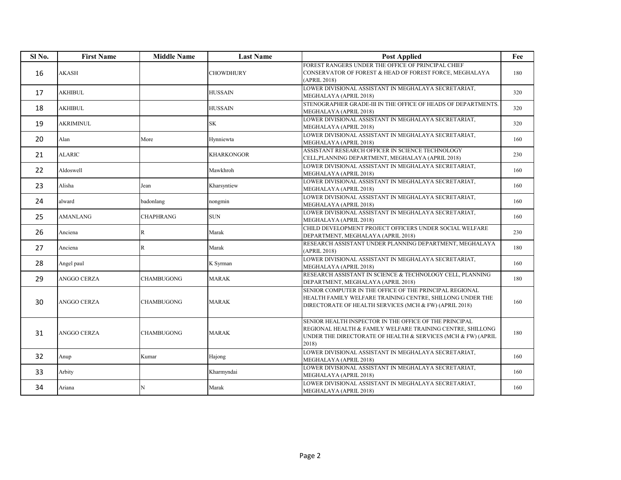| Sl No. | <b>First Name</b>  | <b>Middle Name</b> | <b>Last Name</b>  | <b>Post Applied</b>                                                                                                                                                                           | Fee |
|--------|--------------------|--------------------|-------------------|-----------------------------------------------------------------------------------------------------------------------------------------------------------------------------------------------|-----|
| 16     | AKASH              |                    | <b>CHOWDHURY</b>  | FOREST RANGERS UNDER THE OFFICE OF PRINCIPAL CHIEF<br>CONSERVATOR OF FOREST & HEAD OF FOREST FORCE, MEGHALAYA<br>(APRIL 2018)                                                                 | 180 |
| 17     | AKHIBUL            |                    | <b>HUSSAIN</b>    | LOWER DIVISIONAL ASSISTANT IN MEGHALAYA SECRETARIAT,<br>MEGHALAYA (APRIL 2018)                                                                                                                | 320 |
| 18     | <b>AKHIBUL</b>     |                    | <b>HUSSAIN</b>    | STENOGRAPHER GRADE-III IN THE OFFICE OF HEADS OF DEPARTMENTS.<br>MEGHALAYA (APRIL 2018)                                                                                                       | 320 |
| 19     | <b>AKRIMINUL</b>   |                    | <b>SK</b>         | LOWER DIVISIONAL ASSISTANT IN MEGHALAYA SECRETARIAT,<br>MEGHALAYA (APRIL 2018)                                                                                                                | 320 |
| 20     | Alan               | More               | Hynniewta         | LOWER DIVISIONAL ASSISTANT IN MEGHALAYA SECRETARIAT.<br>MEGHALAYA (APRIL 2018)                                                                                                                | 160 |
| 21     | <b>ALARIC</b>      |                    | <b>KHARKONGOR</b> | ASSISTANT RESEARCH OFFICER IN SCIENCE TECHNOLOGY<br>CELL, PLANNING DEPARTMENT, MEGHALAYA (APRIL 2018)                                                                                         | 230 |
| 22     | Aldoswell          |                    | Mawkhroh          | LOWER DIVISIONAL ASSISTANT IN MEGHALAYA SECRETARIAT,<br>MEGHALAYA (APRIL 2018)                                                                                                                | 160 |
| 23     | Alisha             | Jean               | Kharsyntiew       | LOWER DIVISIONAL ASSISTANT IN MEGHALAYA SECRETARIAT,<br>MEGHALAYA (APRIL 2018)                                                                                                                | 160 |
| 24     | alward             | badonlang          | nongmin           | LOWER DIVISIONAL ASSISTANT IN MEGHALAYA SECRETARIAT,<br>MEGHALAYA (APRIL 2018)                                                                                                                | 160 |
| 25     | <b>AMANLANG</b>    | <b>CHAPHRANG</b>   | <b>SUN</b>        | LOWER DIVISIONAL ASSISTANT IN MEGHALAYA SECRETARIAT,<br>MEGHALAYA (APRIL 2018)                                                                                                                | 160 |
| 26     | Anciena            | $\mathbb{R}$       | Marak             | CHILD DEVELOPMENT PROJECT OFFICERS UNDER SOCIAL WELFARE<br>DEPARTMENT, MEGHALAYA (APRIL 2018)                                                                                                 | 230 |
| 27     | Anciena            | $\mathbb{R}$       | Marak             | RESEARCH ASSISTANT UNDER PLANNING DEPARTMENT, MEGHALAYA<br>(APRIL 2018)                                                                                                                       | 180 |
| 28     | Angel paul         |                    | K Syrman          | LOWER DIVISIONAL ASSISTANT IN MEGHALAYA SECRETARIAT,<br>MEGHALAYA (APRIL 2018)                                                                                                                | 160 |
| 29     | <b>ANGGO CERZA</b> | <b>CHAMBUGONG</b>  | <b>MARAK</b>      | RESEARCH ASSISTANT IN SCIENCE & TECHNOLOGY CELL, PLANNING<br>DEPARTMENT, MEGHALAYA (APRIL 2018)                                                                                               | 180 |
| 30     | <b>ANGGO CERZA</b> | <b>CHAMBUGONG</b>  | <b>MARAK</b>      | SENIOR COMPUTER IN THE OFFICE OF THE PRINCIPAL REGIONAL<br>HEALTH FAMILY WELFARE TRAINING CENTRE, SHILLONG UNDER THE<br>DIRECTORATE OF HEALTH SERVICES (MCH & FW) (APRIL 2018)                | 160 |
| 31     | ANGGO CERZA        | <b>CHAMBUGONG</b>  | <b>MARAK</b>      | SENIOR HEALTH INSPECTOR IN THE OFFICE OF THE PRINCIPAL<br>REGIONAL HEALTH & FAMILY WELFARE TRAINING CENTRE, SHILLONG<br>UNDER THE DIRECTORATE OF HEALTH & SERVICES (MCH & FW) (APRIL<br>2018) | 180 |
| 32     | Anup               | Kumar              | Hajong            | LOWER DIVISIONAL ASSISTANT IN MEGHALAYA SECRETARIAT,<br>MEGHALAYA (APRIL 2018)                                                                                                                | 160 |
| 33     | Arbity             |                    | Kharmyndai        | LOWER DIVISIONAL ASSISTANT IN MEGHALAYA SECRETARIAT,<br>MEGHALAYA (APRIL 2018)                                                                                                                | 160 |
| 34     | Ariana             | N                  | Marak             | LOWER DIVISIONAL ASSISTANT IN MEGHALAYA SECRETARIAT.<br>MEGHALAYA (APRIL 2018)                                                                                                                | 160 |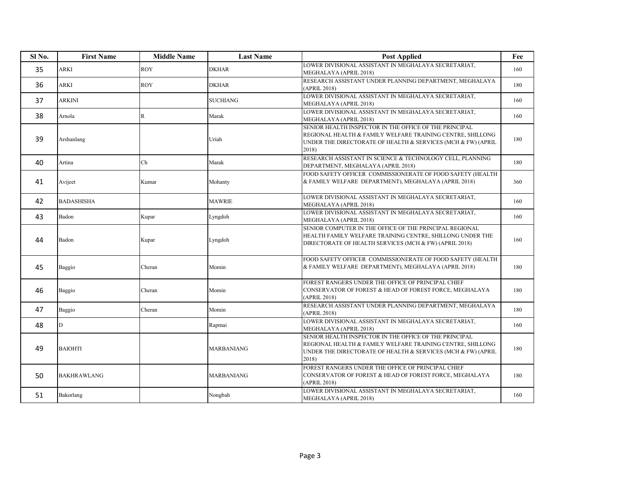| Sl No. | <b>First Name</b>  | <b>Middle Name</b> | <b>Last Name</b> | <b>Post Applied</b>                                                                                                                                                                                 | Fee |
|--------|--------------------|--------------------|------------------|-----------------------------------------------------------------------------------------------------------------------------------------------------------------------------------------------------|-----|
| 35     | <b>ARKI</b>        | <b>ROY</b>         | DKHAR            | LOWER DIVISIONAL ASSISTANT IN MEGHALAYA SECRETARIAT,<br>MEGHALAYA (APRIL 2018)                                                                                                                      | 160 |
| 36     | ARKI               | <b>ROY</b>         | DKHAR            | RESEARCH ASSISTANT UNDER PLANNING DEPARTMENT, MEGHALAYA<br>(APRIL 2018)                                                                                                                             | 180 |
| 37     | ARKINI             |                    | <b>SUCHIANG</b>  | LOWER DIVISIONAL ASSISTANT IN MEGHALAYA SECRETARIAT,<br>MEGHALAYA (APRIL 2018)                                                                                                                      | 160 |
| 38     | Arnola             | $\mathbb{R}$       | Marak            | LOWER DIVISIONAL ASSISTANT IN MEGHALAYA SECRETARIAT,<br>MEGHALAYA (APRIL 2018)                                                                                                                      | 160 |
| 39     | Arshanlang         |                    | Uriah            | SENIOR HEALTH INSPECTOR IN THE OFFICE OF THE PRINCIPAL<br>REGIONAL HEALTH & FAMILY WELFARE TRAINING CENTRE, SHILLONG<br>UNDER THE DIRECTORATE OF HEALTH & SERVICES (MCH & FW) (APRIL<br>2018)       | 180 |
| 40     | Artina             | Ch                 | Marak            | RESEARCH ASSISTANT IN SCIENCE & TECHNOLOGY CELL, PLANNING<br>DEPARTMENT, MEGHALAYA (APRIL 2018)                                                                                                     | 180 |
| 41     | Avijeet            | Kumar              | Mohanty          | FOOD SAFETY OFFICER COMMISSIONERATE OF FOOD SAFETY (HEALTH<br>& FAMILY WELFARE DEPARTMENT), MEGHALAYA (APRIL 2018)                                                                                  | 360 |
| 42     | <b>BADASHISHA</b>  |                    | <b>MAWRIE</b>    | LOWER DIVISIONAL ASSISTANT IN MEGHALAYA SECRETARIAT,<br>MEGHALAYA (APRIL 2018)                                                                                                                      | 160 |
| 43     | Badon              | Kupar              | Lyngdoh          | LOWER DIVISIONAL ASSISTANT IN MEGHALAYA SECRETARIAT,<br>MEGHALAYA (APRIL 2018)                                                                                                                      | 160 |
| 44     | Badon              | Kupar              | Lyngdoh          | SENIOR COMPUTER IN THE OFFICE OF THE PRINCIPAL REGIONAL<br>HEALTH FAMILY WELFARE TRAINING CENTRE. SHILLONG UNDER THE<br>DIRECTORATE OF HEALTH SERVICES (MCH & FW) (APRIL 2018)                      | 160 |
| 45     | Baggio             | Cheran             | Momin            | FOOD SAFETY OFFICER COMMISSIONERATE OF FOOD SAFETY (HEALTH<br>& FAMILY WELFARE DEPARTMENT), MEGHALAYA (APRIL 2018)                                                                                  | 180 |
| 46     | Baggio             | Cheran             | Momin            | FOREST RANGERS UNDER THE OFFICE OF PRINCIPAL CHIEF<br>CONSERVATOR OF FOREST & HEAD OF FOREST FORCE, MEGHALAYA<br>(APRIL 2018)                                                                       | 180 |
| 47     | Baggio             | Cheran             | Momin            | RESEARCH ASSISTANT UNDER PLANNING DEPARTMENT, MEGHALAYA<br>(APRIL 2018)                                                                                                                             | 180 |
| 48     | D                  |                    | Rapmai           | LOWER DIVISIONAL ASSISTANT IN MEGHALAYA SECRETARIAT,<br>MEGHALAYA (APRIL 2018)                                                                                                                      | 160 |
| 49     | <b>BAIOHTI</b>     |                    | MARBANIANG       | SENIOR HEALTH INSPECTOR IN THE OFFICE OF THE PRINCIPAL<br>REGIONAL HEALTH & FAMILY WELFARE TRAINING CENTRE, SHILLONG<br>UNDER THE DIRECTORATE OF HEALTH $\&$ SERVICES (MCH $\&$ FW) (APRIL<br>2018) | 180 |
| 50     | <b>BAKHRAWLANG</b> |                    | MARBANIANG       | FOREST RANGERS UNDER THE OFFICE OF PRINCIPAL CHIEF<br>CONSERVATOR OF FOREST & HEAD OF FOREST FORCE, MEGHALAYA<br>(APRIL 2018)                                                                       | 180 |
| 51     | Bakorlang          |                    | Nongbah          | LOWER DIVISIONAL ASSISTANT IN MEGHALAYA SECRETARIAT,<br>MEGHALAYA (APRIL 2018)                                                                                                                      | 160 |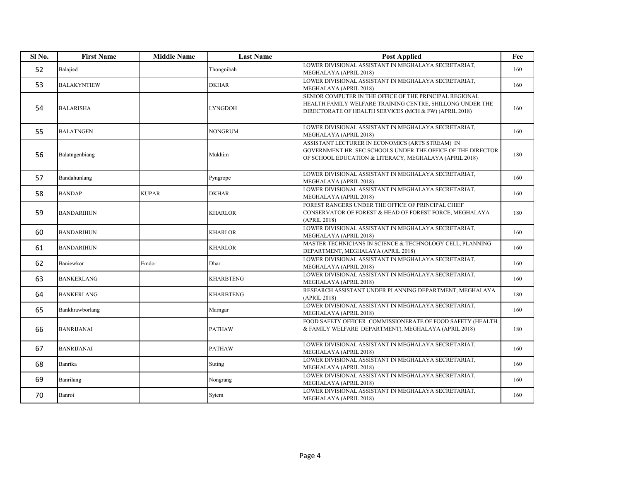| Sl <sub>No.</sub> | <b>First Name</b>  | <b>Middle Name</b> | <b>Last Name</b> | <b>Post Applied</b>                                                                                                                                                            | Fee |
|-------------------|--------------------|--------------------|------------------|--------------------------------------------------------------------------------------------------------------------------------------------------------------------------------|-----|
| 52                | Balajied           |                    | Thongnibah       | LOWER DIVISIONAL ASSISTANT IN MEGHALAYA SECRETARIAT.<br>MEGHALAYA (APRIL 2018)                                                                                                 | 160 |
| 53                | <b>BALAKYNTIEW</b> |                    | <b>DKHAR</b>     | LOWER DIVISIONAL ASSISTANT IN MEGHALAYA SECRETARIAT.<br>MEGHALAYA (APRIL 2018)                                                                                                 | 160 |
| 54                | <b>BALARISHA</b>   |                    | <b>LYNGDOH</b>   | SENIOR COMPUTER IN THE OFFICE OF THE PRINCIPAL REGIONAL<br>HEALTH FAMILY WELFARE TRAINING CENTRE, SHILLONG UNDER THE<br>DIRECTORATE OF HEALTH SERVICES (MCH & FW) (APRIL 2018) | 160 |
| 55                | <b>BALATNGEN</b>   |                    | NONGRUM          | LOWER DIVISIONAL ASSISTANT IN MEGHALAYA SECRETARIAT,<br>MEGHALAYA (APRIL 2018)                                                                                                 | 160 |
| 56                | Balatngenbiang     |                    | Mukhim           | ASSISTANT LECTURER IN ECONOMICS (ARTS STREAM) IN<br>GOVERNMENT HR. SEC SCHOOLS UNDER THE OFFICE OF THE DIRECTOR<br>OF SCHOOL EDUCATION & LITERACY, MEGHALAYA (APRIL 2018)      | 180 |
| 57                | Bandahunlang       |                    | Pyngrope         | LOWER DIVISIONAL ASSISTANT IN MEGHALAYA SECRETARIAT,<br>MEGHALAYA (APRIL 2018)                                                                                                 | 160 |
| 58                | <b>BANDAP</b>      | <b>KUPAR</b>       | <b>DKHAR</b>     | LOWER DIVISIONAL ASSISTANT IN MEGHALAYA SECRETARIAT,<br>MEGHALAYA (APRIL 2018)                                                                                                 | 160 |
| 59                | <b>BANDARIHUN</b>  |                    | <b>KHARLOR</b>   | FOREST RANGERS UNDER THE OFFICE OF PRINCIPAL CHIEF<br>CONSERVATOR OF FOREST & HEAD OF FOREST FORCE, MEGHALAYA<br>(APRIL 2018)                                                  | 180 |
| 60                | <b>BANDARIHUN</b>  |                    | <b>KHARLOR</b>   | LOWER DIVISIONAL ASSISTANT IN MEGHALAYA SECRETARIAT,<br>MEGHALAYA (APRIL 2018)                                                                                                 | 160 |
| 61                | <b>BANDARIHUN</b>  |                    | <b>KHARLOR</b>   | MASTER TECHNICIANS IN SCIENCE & TECHNOLOGY CELL, PLANNING<br>DEPARTMENT, MEGHALAYA (APRIL 2018)                                                                                | 160 |
| 62                | Baniewkor          | Emdor              | Dhar             | LOWER DIVISIONAL ASSISTANT IN MEGHALAYA SECRETARIAT,<br>MEGHALAYA (APRIL 2018)                                                                                                 | 160 |
| 63                | <b>BANKERLANG</b>  |                    | <b>KHARBTENG</b> | LOWER DIVISIONAL ASSISTANT IN MEGHALAYA SECRETARIAT,<br>MEGHALAYA (APRIL 2018)                                                                                                 | 160 |
| 64                | <b>BANKERLANG</b>  |                    | <b>KHARBTENG</b> | RESEARCH ASSISTANT UNDER PLANNING DEPARTMENT, MEGHALAYA<br>(APRIL 2018)                                                                                                        | 180 |
| 65                | Bankhrawborlang    |                    | Marngar          | LOWER DIVISIONAL ASSISTANT IN MEGHALAYA SECRETARIAT,<br>MEGHALAYA (APRIL 2018)                                                                                                 | 160 |
| 66                | <b>BANRIJANAI</b>  |                    | <b>PATHAW</b>    | FOOD SAFETY OFFICER COMMISSIONERATE OF FOOD SAFETY (HEALTH<br>& FAMILY WELFARE DEPARTMENT), MEGHALAYA (APRIL 2018)                                                             | 180 |
| 67                | <b>BANRIJANAI</b>  |                    | <b>PATHAW</b>    | LOWER DIVISIONAL ASSISTANT IN MEGHALAYA SECRETARIAT,<br>MEGHALAYA (APRIL 2018)                                                                                                 | 160 |
| 68                | Banrika            |                    | Suting           | LOWER DIVISIONAL ASSISTANT IN MEGHALAYA SECRETARIAT,<br>MEGHALAYA (APRIL 2018)                                                                                                 | 160 |
| 69                | Banrilang          |                    | Nongrang         | LOWER DIVISIONAL ASSISTANT IN MEGHALAYA SECRETARIAT,<br>MEGHALAYA (APRIL 2018)                                                                                                 | 160 |
| 70                | Banroi             |                    | Syiem            | LOWER DIVISIONAL ASSISTANT IN MEGHALAYA SECRETARIAT,<br>MEGHALAYA (APRIL 2018)                                                                                                 | 160 |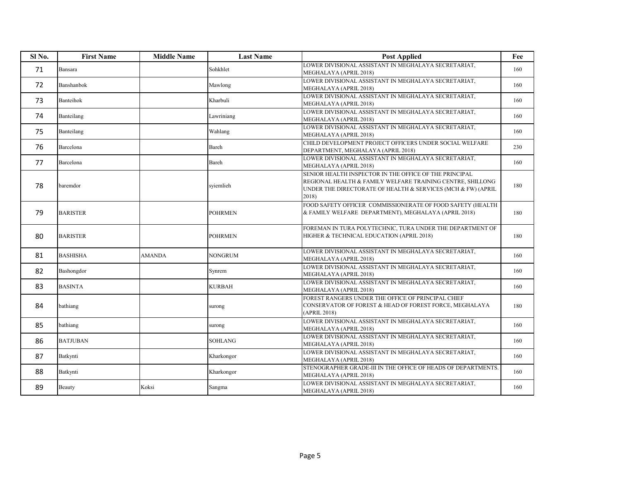| Sl <sub>No.</sub> | <b>First Name</b> | <b>Middle Name</b> | <b>Last Name</b> | <b>Post Applied</b>                                                                                                                                                                           | Fee |
|-------------------|-------------------|--------------------|------------------|-----------------------------------------------------------------------------------------------------------------------------------------------------------------------------------------------|-----|
| 71                | Bansara           |                    | Sohkhlet         | LOWER DIVISIONAL ASSISTANT IN MEGHALAYA SECRETARIAT.<br>MEGHALAYA (APRIL 2018)                                                                                                                | 160 |
| 72                | Banshanbok        |                    | Mawlong          | LOWER DIVISIONAL ASSISTANT IN MEGHALAYA SECRETARIAT,<br>MEGHALAYA (APRIL 2018)                                                                                                                | 160 |
| 73                | Banteihok         |                    | Kharbuli         | LOWER DIVISIONAL ASSISTANT IN MEGHALAYA SECRETARIAT,<br>MEGHALAYA (APRIL 2018)                                                                                                                | 160 |
| 74                | Banteilang        |                    | Lawriniang       | LOWER DIVISIONAL ASSISTANT IN MEGHALAYA SECRETARIAT,<br>MEGHALAYA (APRIL 2018)                                                                                                                | 160 |
| 75                | Banteilang        |                    | Wahlang          | LOWER DIVISIONAL ASSISTANT IN MEGHALAYA SECRETARIAT,<br>MEGHALAYA (APRIL 2018)                                                                                                                | 160 |
| 76                | Barcelona         |                    | Bareh            | CHILD DEVELOPMENT PROJECT OFFICERS UNDER SOCIAL WELFARE<br>DEPARTMENT, MEGHALAYA (APRIL 2018)                                                                                                 | 230 |
| 77                | Barcelona         |                    | Bareh            | LOWER DIVISIONAL ASSISTANT IN MEGHALAYA SECRETARIAT,<br>MEGHALAYA (APRIL 2018)                                                                                                                | 160 |
| 78                | baremdor          |                    | sviemlieh        | SENIOR HEALTH INSPECTOR IN THE OFFICE OF THE PRINCIPAL<br>REGIONAL HEALTH & FAMILY WELFARE TRAINING CENTRE, SHILLONG<br>UNDER THE DIRECTORATE OF HEALTH & SERVICES (MCH & FW) (APRIL<br>2018) | 180 |
| 79                | <b>BARISTER</b>   |                    | <b>POHRMEN</b>   | FOOD SAFETY OFFICER COMMISSIONERATE OF FOOD SAFETY (HEALTH<br>& FAMILY WELFARE DEPARTMENT), MEGHALAYA (APRIL 2018)                                                                            | 180 |
| 80                | <b>BARISTER</b>   |                    | <b>POHRMEN</b>   | FOREMAN IN TURA POLYTECHNIC, TURA UNDER THE DEPARTMENT OF<br>HIGHER & TECHNICAL EDUCATION (APRIL 2018)                                                                                        | 180 |
| 81                | <b>BASHISHA</b>   | <b>AMANDA</b>      | <b>NONGRUM</b>   | LOWER DIVISIONAL ASSISTANT IN MEGHALAYA SECRETARIAT,<br>MEGHALAYA (APRIL 2018)                                                                                                                | 160 |
| 82                | Bashongdor        |                    | Synrem           | LOWER DIVISIONAL ASSISTANT IN MEGHALAYA SECRETARIAT,<br>MEGHALAYA (APRIL 2018)                                                                                                                | 160 |
| 83                | <b>BASINTA</b>    |                    | <b>KURBAH</b>    | LOWER DIVISIONAL ASSISTANT IN MEGHALAYA SECRETARIAT.<br>MEGHALAYA (APRIL 2018)                                                                                                                | 160 |
| 84                | bathiang          |                    | surong           | FOREST RANGERS UNDER THE OFFICE OF PRINCIPAL CHIEF<br>CONSERVATOR OF FOREST & HEAD OF FOREST FORCE, MEGHALAYA<br>(APRIL 2018)                                                                 | 180 |
| 85                | bathiang          |                    | surong           | LOWER DIVISIONAL ASSISTANT IN MEGHALAYA SECRETARIAT.<br>MEGHALAYA (APRIL 2018)                                                                                                                | 160 |
| 86                | <b>BATJUBAN</b>   |                    | <b>SOHLANG</b>   | LOWER DIVISIONAL ASSISTANT IN MEGHALAYA SECRETARIAT,<br>MEGHALAYA (APRIL 2018)                                                                                                                | 160 |
| 87                | Batkynti          |                    | Kharkongor       | LOWER DIVISIONAL ASSISTANT IN MEGHALAYA SECRETARIAT,<br>MEGHALAYA (APRIL 2018)                                                                                                                | 160 |
| 88                | Batkynti          |                    | Kharkongor       | STENOGRAPHER GRADE-III IN THE OFFICE OF HEADS OF DEPARTMENTS.<br>MEGHALAYA (APRIL 2018)                                                                                                       | 160 |
| 89                | Beauty            | Koksi              | Sangma           | LOWER DIVISIONAL ASSISTANT IN MEGHALAYA SECRETARIAT,<br>MEGHALAYA (APRIL 2018)                                                                                                                | 160 |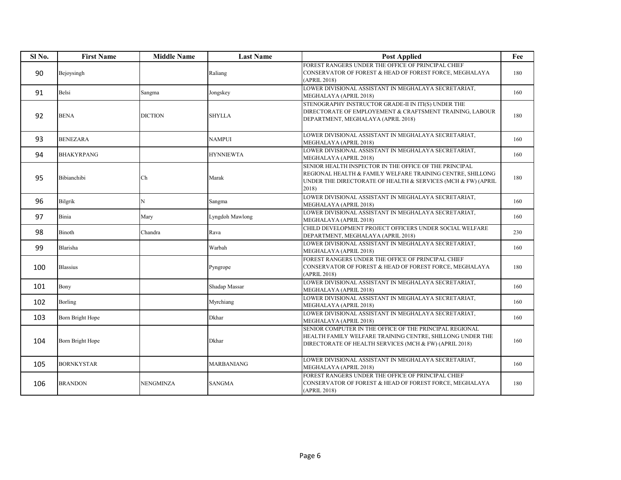| Sl No. | <b>First Name</b> | <b>Middle Name</b> | <b>Last Name</b> | <b>Post Applied</b>                                                                                                                                                                                 | Fee |
|--------|-------------------|--------------------|------------------|-----------------------------------------------------------------------------------------------------------------------------------------------------------------------------------------------------|-----|
| 90     | Bejoysingh        |                    | Raliang          | FOREST RANGERS UNDER THE OFFICE OF PRINCIPAL CHIEF<br>CONSERVATOR OF FOREST & HEAD OF FOREST FORCE. MEGHALAYA<br>(APRIL 2018)                                                                       | 180 |
| 91     | Belsi             | Sangma             | Jongskey         | LOWER DIVISIONAL ASSISTANT IN MEGHALAYA SECRETARIAT,<br>MEGHALAYA (APRIL 2018)                                                                                                                      | 160 |
| 92     | <b>BENA</b>       | <b>DICTION</b>     | <b>SHYLLA</b>    | STENOGRAPHY INSTRUCTOR GRADE-II IN ITI(S) UNDER THE<br>DIRECTORATE OF EMPLOYEMENT & CRAFTSMENT TRAINING, LABOUR<br>DEPARTMENT, MEGHALAYA (APRIL 2018)                                               | 180 |
| 93     | <b>BENEZARA</b>   |                    | <b>NAMPUI</b>    | LOWER DIVISIONAL ASSISTANT IN MEGHALAYA SECRETARIAT,<br>MEGHALAYA (APRIL 2018)                                                                                                                      | 160 |
| 94     | <b>BHAKYRPANG</b> |                    | <b>HYNNIEWTA</b> | LOWER DIVISIONAL ASSISTANT IN MEGHALAYA SECRETARIAT,<br>MEGHALAYA (APRIL 2018)                                                                                                                      | 160 |
| 95     | Bibianchibi       | Ch                 | Marak            | SENIOR HEALTH INSPECTOR IN THE OFFICE OF THE PRINCIPAL<br>REGIONAL HEALTH & FAMILY WELFARE TRAINING CENTRE, SHILLONG<br>UNDER THE DIRECTORATE OF HEALTH $\&$ SERVICES (MCH $\&$ FW) (APRIL<br>2018) | 180 |
| 96     | Bilgrik           | N                  | Sangma           | LOWER DIVISIONAL ASSISTANT IN MEGHALAYA SECRETARIAT,<br>MEGHALAYA (APRIL 2018)                                                                                                                      | 160 |
| 97     | Binia             | Mary               | Lyngdoh Mawlong  | LOWER DIVISIONAL ASSISTANT IN MEGHALAYA SECRETARIAT,<br>MEGHALAYA (APRIL 2018)                                                                                                                      | 160 |
| 98     | Binoth            | Chandra            | Rava             | CHILD DEVELOPMENT PROJECT OFFICERS UNDER SOCIAL WELFARE<br>DEPARTMENT, MEGHALAYA (APRIL 2018)                                                                                                       | 230 |
| 99     | Blarisha          |                    | Warbah           | LOWER DIVISIONAL ASSISTANT IN MEGHALAYA SECRETARIAT,<br>MEGHALAYA (APRIL 2018)                                                                                                                      | 160 |
| 100    | <b>Blassius</b>   |                    | Pyngrope         | FOREST RANGERS UNDER THE OFFICE OF PRINCIPAL CHIEF<br>CONSERVATOR OF FOREST & HEAD OF FOREST FORCE, MEGHALAYA<br>(APRIL 2018)                                                                       | 180 |
| 101    | Bony              |                    | Shadap Massar    | LOWER DIVISIONAL ASSISTANT IN MEGHALAYA SECRETARIAT,<br>MEGHALAYA (APRIL 2018)                                                                                                                      | 160 |
| 102    | Borling           |                    | Myrchiang        | LOWER DIVISIONAL ASSISTANT IN MEGHALAYA SECRETARIAT,<br>MEGHALAYA (APRIL 2018)                                                                                                                      | 160 |
| 103    | Born Bright Hope  |                    | Dkhar            | LOWER DIVISIONAL ASSISTANT IN MEGHALAYA SECRETARIAT,<br>MEGHALAYA (APRIL 2018)                                                                                                                      | 160 |
| 104    | Born Bright Hope  |                    | <b>Dkhar</b>     | SENIOR COMPUTER IN THE OFFICE OF THE PRINCIPAL REGIONAL<br>HEALTH FAMILY WELFARE TRAINING CENTRE, SHILLONG UNDER THE<br>DIRECTORATE OF HEALTH SERVICES (MCH & FW) (APRIL 2018)                      | 160 |
| 105    | <b>BORNKYSTAR</b> |                    | MARBANIANG       | LOWER DIVISIONAL ASSISTANT IN MEGHALAYA SECRETARIAT,<br>MEGHALAYA (APRIL 2018)                                                                                                                      | 160 |
| 106    | <b>BRANDON</b>    | NENGMINZA          | <b>SANGMA</b>    | FOREST RANGERS UNDER THE OFFICE OF PRINCIPAL CHIEF<br>CONSERVATOR OF FOREST & HEAD OF FOREST FORCE, MEGHALAYA<br>(APRIL 2018)                                                                       | 180 |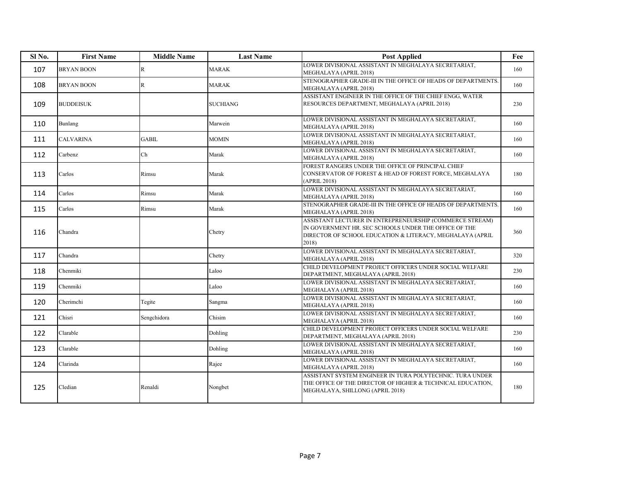| Sl <sub>No.</sub> | <b>First Name</b> | <b>Middle Name</b> | <b>Last Name</b> | <b>Post Applied</b>                                                                                                                                                                     | Fee |
|-------------------|-------------------|--------------------|------------------|-----------------------------------------------------------------------------------------------------------------------------------------------------------------------------------------|-----|
| 107               | <b>BRYAN BOON</b> | $\mathbf R$        | <b>MARAK</b>     | LOWER DIVISIONAL ASSISTANT IN MEGHALAYA SECRETARIAT.<br>MEGHALAYA (APRIL 2018)                                                                                                          | 160 |
| 108               | <b>BRYAN BOON</b> | $\mathbb{R}$       | <b>MARAK</b>     | STENOGRAPHER GRADE-III IN THE OFFICE OF HEADS OF DEPARTMENTS.<br>MEGHALAYA (APRIL 2018)                                                                                                 | 160 |
| 109               | <b>BUDDEISUK</b>  |                    | <b>SUCHIANG</b>  | ASSISTANT ENGINEER IN THE OFFICE OF THE CHIEF ENGG, WATER<br>RESOURCES DEPARTMENT, MEGHALAYA (APRIL 2018)                                                                               | 230 |
| 110               | Bunlang           |                    | Marwein          | LOWER DIVISIONAL ASSISTANT IN MEGHALAYA SECRETARIAT,<br>MEGHALAYA (APRIL 2018)                                                                                                          | 160 |
| 111               | <b>CALVARINA</b>  | <b>GABIL</b>       | <b>MOMIN</b>     | LOWER DIVISIONAL ASSISTANT IN MEGHALAYA SECRETARIAT,<br>MEGHALAYA (APRIL 2018)                                                                                                          | 160 |
| 112               | Carbenz           | Ch                 | Marak            | LOWER DIVISIONAL ASSISTANT IN MEGHALAYA SECRETARIAT,<br>MEGHALAYA (APRIL 2018)                                                                                                          | 160 |
| 113               | Carlos            | Rimsu              | Marak            | FOREST RANGERS UNDER THE OFFICE OF PRINCIPAL CHIEF<br>CONSERVATOR OF FOREST & HEAD OF FOREST FORCE, MEGHALAYA<br>(APRIL 2018)                                                           | 180 |
| 114               | Carlos            | Rimsu              | Marak            | LOWER DIVISIONAL ASSISTANT IN MEGHALAYA SECRETARIAT,<br>MEGHALAYA (APRIL 2018)                                                                                                          | 160 |
| 115               | Carlos            | Rimsu              | Marak            | STENOGRAPHER GRADE-III IN THE OFFICE OF HEADS OF DEPARTMENTS.<br>MEGHALAYA (APRIL 2018)                                                                                                 | 160 |
| 116               | Chandra           |                    | Chetry           | ASSISTANT LECTURER IN ENTREPRENEURSHIP (COMMERCE STREAM)<br>IN GOVERNMENT HR. SEC SCHOOLS UNDER THE OFFICE OF THE<br>DIRECTOR OF SCHOOL EDUCATION & LITERACY, MEGHALAYA (APRIL<br>2018) | 360 |
| 117               | Chandra           |                    | Chetry           | LOWER DIVISIONAL ASSISTANT IN MEGHALAYA SECRETARIAT.<br>MEGHALAYA (APRIL 2018)                                                                                                          | 320 |
| 118               | Chenmiki          |                    | Laloo            | CHILD DEVELOPMENT PROJECT OFFICERS UNDER SOCIAL WELFARE<br>DEPARTMENT, MEGHALAYA (APRIL 2018)                                                                                           | 230 |
| 119               | Chenmiki          |                    | Laloo            | LOWER DIVISIONAL ASSISTANT IN MEGHALAYA SECRETARIAT,<br>MEGHALAYA (APRIL 2018)                                                                                                          | 160 |
| 120               | Cherimchi         | Tegite             | Sangma           | LOWER DIVISIONAL ASSISTANT IN MEGHALAYA SECRETARIAT,<br>MEGHALAYA (APRIL 2018)                                                                                                          | 160 |
| 121               | Chisri            | Sengchidora        | Chisim           | LOWER DIVISIONAL ASSISTANT IN MEGHALAYA SECRETARIAT,<br>MEGHALAYA (APRIL 2018)                                                                                                          | 160 |
| 122               | Clarable          |                    | Dohling          | CHILD DEVELOPMENT PROJECT OFFICERS UNDER SOCIAL WELFARE<br>DEPARTMENT, MEGHALAYA (APRIL 2018)                                                                                           | 230 |
| 123               | Clarable          |                    | Dohling          | LOWER DIVISIONAL ASSISTANT IN MEGHALAYA SECRETARIAT,<br>MEGHALAYA (APRIL 2018)                                                                                                          | 160 |
| 124               | Clarinda          |                    | Rajee            | LOWER DIVISIONAL ASSISTANT IN MEGHALAYA SECRETARIAT,<br>MEGHALAYA (APRIL 2018)                                                                                                          | 160 |
| 125               | Cledian           | Renaldi            | Nongbet          | ASSISTANT SYSTEM ENGINEER IN TURA POLYTECHNIC. TURA UNDER<br>THE OFFICE OF THE DIRECTOR OF HIGHER & TECHNICAL EDUCATION,<br>MEGHALAYA, SHILLONG (APRIL 2018)                            | 180 |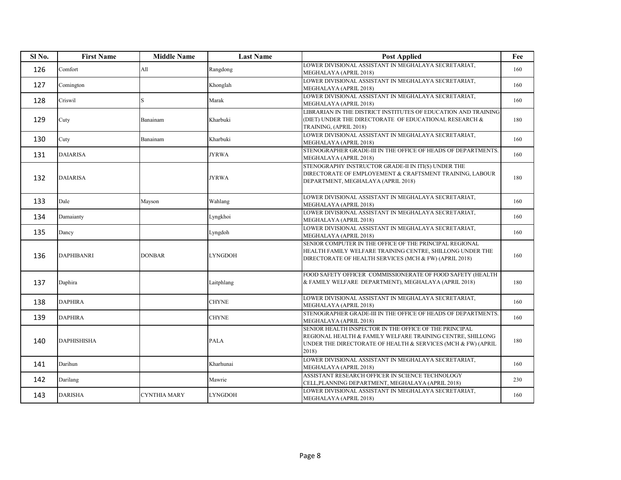| Sl No. | <b>First Name</b>  | <b>Middle Name</b> | <b>Last Name</b> | <b>Post Applied</b>                                                                                                                                                                           | Fee |
|--------|--------------------|--------------------|------------------|-----------------------------------------------------------------------------------------------------------------------------------------------------------------------------------------------|-----|
| 126    | Comfort            | All                | Rangdong         | LOWER DIVISIONAL ASSISTANT IN MEGHALAYA SECRETARIAT,<br>MEGHALAYA (APRIL 2018)                                                                                                                | 160 |
| 127    | Comington          |                    | Khonglah         | LOWER DIVISIONAL ASSISTANT IN MEGHALAYA SECRETARIAT.<br>MEGHALAYA (APRIL 2018)                                                                                                                | 160 |
| 128    | Criswil            |                    | Marak            | LOWER DIVISIONAL ASSISTANT IN MEGHALAYA SECRETARIAT,<br>MEGHALAYA (APRIL 2018)                                                                                                                | 160 |
| 129    | Cuty               | Banainam           | Kharbuki         | LIBRARIAN IN THE DISTRICT INSTITUTES OF EDUCATION AND TRAINING<br>(DIET) UNDER THE DIRECTORATE OF EDUCATIONAL RESEARCH &<br>TRAINING, (APRIL 2018)                                            | 180 |
| 130    | Cuty               | Banainam           | Kharbuki         | LOWER DIVISIONAL ASSISTANT IN MEGHALAYA SECRETARIAT,<br>MEGHALAYA (APRIL 2018)                                                                                                                | 160 |
| 131    | <b>DAIARISA</b>    |                    | <b>JYRWA</b>     | STENOGRAPHER GRADE-III IN THE OFFICE OF HEADS OF DEPARTMENTS.<br>MEGHALAYA (APRIL 2018)                                                                                                       | 160 |
| 132    | <b>DAIARISA</b>    |                    | <b>JYRWA</b>     | STENOGRAPHY INSTRUCTOR GRADE-II IN ITI(S) UNDER THE<br>DIRECTORATE OF EMPLOYEMENT & CRAFTSMENT TRAINING, LABOUR<br>DEPARTMENT, MEGHALAYA (APRIL 2018)                                         | 180 |
| 133    | Dale               | Mayson             | Wahlang          | LOWER DIVISIONAL ASSISTANT IN MEGHALAYA SECRETARIAT,<br>MEGHALAYA (APRIL 2018)                                                                                                                | 160 |
| 134    | Damaianty          |                    | Lyngkhoi         | LOWER DIVISIONAL ASSISTANT IN MEGHALAYA SECRETARIAT,<br>MEGHALAYA (APRIL 2018)                                                                                                                | 160 |
| 135    | Dancy              |                    | Lyngdoh          | LOWER DIVISIONAL ASSISTANT IN MEGHALAYA SECRETARIAT,<br>MEGHALAYA (APRIL 2018)                                                                                                                | 160 |
| 136    | DAPHIBANRI         | <b>DONBAR</b>      | <b>LYNGDOH</b>   | SENIOR COMPUTER IN THE OFFICE OF THE PRINCIPAL REGIONAL<br>HEALTH FAMILY WELFARE TRAINING CENTRE, SHILLONG UNDER THE<br>DIRECTORATE OF HEALTH SERVICES (MCH & FW) (APRIL 2018)                | 160 |
| 137    | Daphira            |                    | Laitphlang       | FOOD SAFETY OFFICER COMMISSIONERATE OF FOOD SAFETY (HEALTH<br>& FAMILY WELFARE DEPARTMENT), MEGHALAYA (APRIL 2018)                                                                            | 180 |
| 138    | <b>DAPHIRA</b>     |                    | <b>CHYNE</b>     | LOWER DIVISIONAL ASSISTANT IN MEGHALAYA SECRETARIAT,<br>MEGHALAYA (APRIL 2018)                                                                                                                | 160 |
| 139    | <b>DAPHIRA</b>     |                    | <b>CHYNE</b>     | STENOGRAPHER GRADE-III IN THE OFFICE OF HEADS OF DEPARTMENTS.<br>MEGHALAYA (APRIL 2018)                                                                                                       | 160 |
| 140    | <b>DAPHISHISHA</b> |                    | <b>PALA</b>      | SENIOR HEALTH INSPECTOR IN THE OFFICE OF THE PRINCIPAL<br>REGIONAL HEALTH & FAMILY WELFARE TRAINING CENTRE, SHILLONG<br>UNDER THE DIRECTORATE OF HEALTH & SERVICES (MCH & FW) (APRIL<br>2018) | 180 |
| 141    | Darihun            |                    | Kharhunai        | LOWER DIVISIONAL ASSISTANT IN MEGHALAYA SECRETARIAT,<br>MEGHALAYA (APRIL 2018)                                                                                                                | 160 |
| 142    | Darilang           |                    | Mawrie           | ASSISTANT RESEARCH OFFICER IN SCIENCE TECHNOLOGY<br>CELL, PLANNING DEPARTMENT, MEGHALAYA (APRIL 2018)                                                                                         | 230 |
| 143    | <b>DARISHA</b>     | CYNTHIA MARY       | <b>LYNGDOH</b>   | LOWER DIVISIONAL ASSISTANT IN MEGHALAYA SECRETARIAT.<br>MEGHALAYA (APRIL 2018)                                                                                                                | 160 |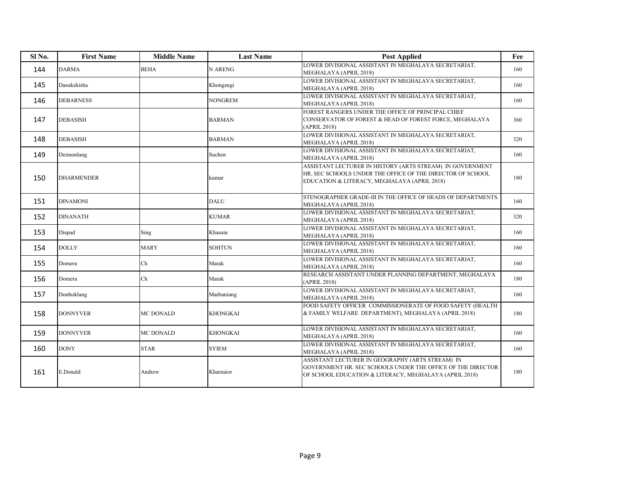| Sl <sub>No.</sub> | <b>First Name</b> | <b>Middle Name</b> | <b>Last Name</b> | <b>Post Applied</b>                                                                                                                                                       | Fee |
|-------------------|-------------------|--------------------|------------------|---------------------------------------------------------------------------------------------------------------------------------------------------------------------------|-----|
| 144               | <b>DARMA</b>      | <b>BEHA</b>        | <b>N ARENG</b>   | LOWER DIVISIONAL ASSISTANT IN MEGHALAYA SECRETARIAT,<br>MEGHALAYA (APRIL 2018)                                                                                            | 160 |
| 145               | Dasukshisha       |                    | Khongsngi        | LOWER DIVISIONAL ASSISTANT IN MEGHALAYA SECRETARIAT.<br>MEGHALAYA (APRIL 2018)                                                                                            | 160 |
| 146               | <b>DEBARNESS</b>  |                    | <b>NONGREM</b>   | LOWER DIVISIONAL ASSISTANT IN MEGHALAYA SECRETARIAT,<br>MEGHALAYA (APRIL 2018)                                                                                            | 160 |
| 147               | <b>DEBASISH</b>   |                    | <b>BARMAN</b>    | FOREST RANGERS UNDER THE OFFICE OF PRINCIPAL CHIEF<br>CONSERVATOR OF FOREST & HEAD OF FOREST FORCE, MEGHALAYA<br>(APRIL 2018)                                             | 360 |
| 148               | <b>DEBASISH</b>   |                    | <b>BARMAN</b>    | LOWER DIVISIONAL ASSISTANT IN MEGHALAYA SECRETARIAT,<br>MEGHALAYA (APRIL 2018)                                                                                            | 320 |
| 149               | Deimonlang        |                    | Suchen           | LOWER DIVISIONAL ASSISTANT IN MEGHALAYA SECRETARIAT,<br>MEGHALAYA (APRIL 2018)                                                                                            | 160 |
| 150               | <b>DHARMENDER</b> |                    | kumar            | ASSISTANT LECTURER IN HISTORY (ARTS STREAM) IN GOVERNMENT<br>HR. SEC SCHOOLS UNDER THE OFFICE OF THE DIRECTOR OF SCHOOL<br>EDUCATION & LITERACY, MEGHALAYA (APRIL 2018)   | 180 |
| 151               | <b>DINAMONI</b>   |                    | <b>DALU</b>      | STENOGRAPHER GRADE-III IN THE OFFICE OF HEADS OF DEPARTMENTS.<br>MEGHALAYA (APRIL 2018)                                                                                   | 160 |
| 152               | <b>DINANATH</b>   |                    | <b>KUMAR</b>     | LOWER DIVISIONAL ASSISTANT IN MEGHALAYA SECRETARIAT,<br>MEGHALAYA (APRIL 2018)                                                                                            | 320 |
| 153               | Dispad            | Sing               | Khasain          | LOWER DIVISIONAL ASSISTANT IN MEGHALAYA SECRETARIAT,<br>MEGHALAYA (APRIL 2018)                                                                                            | 160 |
| 154               | <b>DOLLY</b>      | <b>MARY</b>        | <b>SOHTUN</b>    | LOWER DIVISIONAL ASSISTANT IN MEGHALAYA SECRETARIAT,<br>MEGHALAYA (APRIL 2018)                                                                                            | 160 |
| 155               | Domera            | Ch                 | Marak            | LOWER DIVISIONAL ASSISTANT IN MEGHALAYA SECRETARIAT,<br>MEGHALAYA (APRIL 2018)                                                                                            | 160 |
| 156               | Domera            | Ch                 | Marak            | RESEARCH ASSISTANT UNDER PLANNING DEPARTMENT, MEGHALAYA<br>(APRIL 2018)                                                                                                   | 180 |
| 157               | Donboklang        |                    | Marbaniang       | LOWER DIVISIONAL ASSISTANT IN MEGHALAYA SECRETARIAT,<br>MEGHALAYA (APRIL 2018)                                                                                            | 160 |
| 158               | <b>DONNYVER</b>   | MC DONALD          | <b>KHONGKAI</b>  | FOOD SAFETY OFFICER COMMISSIONERATE OF FOOD SAFETY (HEALTH<br>& FAMILY WELFARE DEPARTMENT), MEGHALAYA (APRIL 2018)                                                        | 180 |
| 159               | <b>DONNYVER</b>   | MC DONALD          | <b>KHONGKAI</b>  | LOWER DIVISIONAL ASSISTANT IN MEGHALAYA SECRETARIAT,<br>MEGHALAYA (APRIL 2018)                                                                                            | 160 |
| 160               | <b>DONY</b>       | <b>STAR</b>        | <b>SYIEM</b>     | LOWER DIVISIONAL ASSISTANT IN MEGHALAYA SECRETARIAT,<br>MEGHALAYA (APRIL 2018)                                                                                            | 160 |
| 161               | E.Donald          | Andrew             | Kharnaior        | ASSISTANT LECTURER IN GEOGRAPHY (ARTS STREAM) IN<br>GOVERNMENT HR. SEC SCHOOLS UNDER THE OFFICE OF THE DIRECTOR<br>OF SCHOOL EDUCATION & LITERACY, MEGHALAYA (APRIL 2018) | 180 |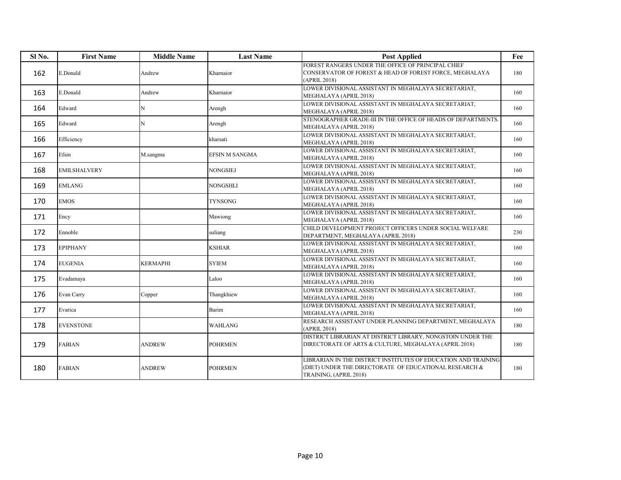| Sl <sub>No.</sub> | <b>First Name</b>   | <b>Middle Name</b> | <b>Last Name</b> | <b>Post Applied</b>                                                                                                                                   | Fee |
|-------------------|---------------------|--------------------|------------------|-------------------------------------------------------------------------------------------------------------------------------------------------------|-----|
| 162               | E.Donald            | Andrew             | Kharnaior        | FOREST RANGERS UNDER THE OFFICE OF PRINCIPAL CHIEF<br>CONSERVATOR OF FOREST & HEAD OF FOREST FORCE, MEGHALAYA<br>(APRIL 2018)                         | 180 |
| 163               | E.Donald            | Andrew             | Kharnaior        | LOWER DIVISIONAL ASSISTANT IN MEGHALAYA SECRETARIAT,<br>MEGHALAYA (APRIL 2018)                                                                        | 160 |
| 164               | Edward              | N                  | Arengh           | LOWER DIVISIONAL ASSISTANT IN MEGHALAYA SECRETARIAT,<br>MEGHALAYA (APRIL 2018)                                                                        | 160 |
| 165               | Edward              | N                  | Arengh           | STENOGRAPHER GRADE-III IN THE OFFICE OF HEADS OF DEPARTMENTS.<br>MEGHALAYA (APRIL 2018)                                                               | 160 |
| 166               | Efficiency          |                    | kharsati         | LOWER DIVISIONAL ASSISTANT IN MEGHALAYA SECRETARIAT,<br>MEGHALAYA (APRIL 2018)                                                                        | 160 |
| 167               | Efsin               | M.sangma           | EFSIN M SANGMA   | LOWER DIVISIONAL ASSISTANT IN MEGHALAYA SECRETARIAT,<br>MEGHALAYA (APRIL 2018)                                                                        | 160 |
| 168               | <b>EMILSHALVERY</b> |                    | NONGSIEJ         | LOWER DIVISIONAL ASSISTANT IN MEGHALAYA SECRETARIAT,<br>MEGHALAYA (APRIL 2018)                                                                        | 160 |
| 169               | <b>EMLANG</b>       |                    | <b>NONGSHLI</b>  | LOWER DIVISIONAL ASSISTANT IN MEGHALAYA SECRETARIAT,<br>MEGHALAYA (APRIL 2018)                                                                        | 160 |
| 170               | <b>EMOS</b>         |                    | <b>TYNSONG</b>   | LOWER DIVISIONAL ASSISTANT IN MEGHALAYA SECRETARIAT,<br>MEGHALAYA (APRIL 2018)                                                                        | 160 |
| 171               | Ency                |                    | Mawiong          | LOWER DIVISIONAL ASSISTANT IN MEGHALAYA SECRETARIAT,<br>MEGHALAYA (APRIL 2018)                                                                        | 160 |
| 172               | Ennoble             |                    | suliang          | CHILD DEVELOPMENT PROJECT OFFICERS UNDER SOCIAL WELFARE<br>DEPARTMENT, MEGHALAYA (APRIL 2018)                                                         | 230 |
| 173               | <b>EPIPHANY</b>     |                    | <b>KSHIAR</b>    | LOWER DIVISIONAL ASSISTANT IN MEGHALAYA SECRETARIAT,<br>MEGHALAYA (APRIL 2018)                                                                        | 160 |
| 174               | <b>EUGENIA</b>      | <b>KERMAPHI</b>    | <b>SYIEM</b>     | LOWER DIVISIONAL ASSISTANT IN MEGHALAYA SECRETARIAT,<br>MEGHALAYA (APRIL 2018)                                                                        | 160 |
| 175               | Evadamaya           |                    | Laloo            | LOWER DIVISIONAL ASSISTANT IN MEGHALAYA SECRETARIAT,<br>MEGHALAYA (APRIL 2018)                                                                        | 160 |
| 176               | Evan Carry          | Copper             | Thangkhiew       | LOWER DIVISIONAL ASSISTANT IN MEGHALAYA SECRETARIAT.<br>MEGHALAYA (APRIL 2018)                                                                        | 160 |
| 177               | Evarica             |                    | Barim            | LOWER DIVISIONAL ASSISTANT IN MEGHALAYA SECRETARIAT,<br>MEGHALAYA (APRIL 2018)                                                                        | 160 |
| 178               | <b>EVENSTONE</b>    |                    | <b>WAHLANG</b>   | RESEARCH ASSISTANT UNDER PLANNING DEPARTMENT, MEGHALAYA<br>(APRIL 2018)                                                                               | 180 |
| 179               | <b>FABIAN</b>       | <b>ANDREW</b>      | <b>POHRMEN</b>   | DISTRICT LIBRARIAN AT DISTRICT LIBRARY, NONGSTOIN UNDER THE<br>DIRECTORATE OF ARTS & CULTURE, MEGHALAYA (APRIL 2018)                                  | 180 |
| 180               | <b>FABIAN</b>       | <b>ANDREW</b>      | <b>POHRMEN</b>   | LIBRARIAN IN THE DISTRICT INSTITUTES OF EDUCATION AND TRAINING<br>(DIET) UNDER THE DIRECTORATE OF EDUCATIONAL RESEARCH $\&$<br>TRAINING, (APRIL 2018) | 180 |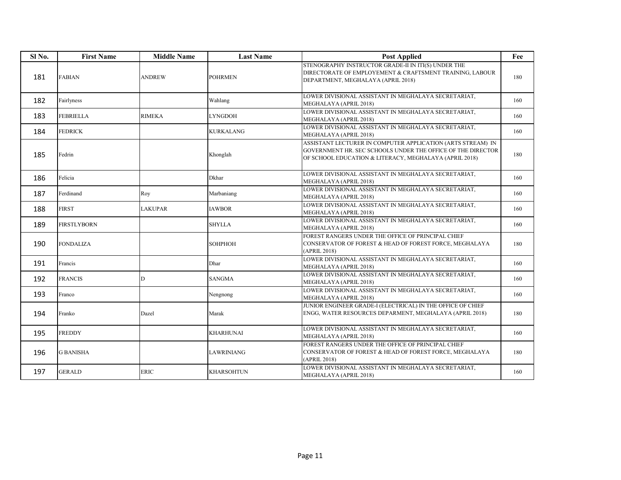| Sl <sub>No.</sub> | <b>First Name</b>  | <b>Middle Name</b> | <b>Last Name</b>  | <b>Post Applied</b>                                                                                                                                                                  | Fee |
|-------------------|--------------------|--------------------|-------------------|--------------------------------------------------------------------------------------------------------------------------------------------------------------------------------------|-----|
| 181               | <b>FABIAN</b>      | <b>ANDREW</b>      | <b>POHRMEN</b>    | STENOGRAPHY INSTRUCTOR GRADE-II IN ITI(S) UNDER THE<br>DIRECTORATE OF EMPLOYEMENT & CRAFTSMENT TRAINING, LABOUR<br>DEPARTMENT, MEGHALAYA (APRIL 2018)                                | 180 |
| 182               | Fairlyness         |                    | Wahlang           | LOWER DIVISIONAL ASSISTANT IN MEGHALAYA SECRETARIAT.<br>MEGHALAYA (APRIL 2018)                                                                                                       | 160 |
| 183               | <b>FEBRIELLA</b>   | <b>RIMEKA</b>      | LYNGDOH           | LOWER DIVISIONAL ASSISTANT IN MEGHALAYA SECRETARIAT,<br>MEGHALAYA (APRIL 2018)                                                                                                       | 160 |
| 184               | <b>FEDRICK</b>     |                    | <b>KURKALANG</b>  | LOWER DIVISIONAL ASSISTANT IN MEGHALAYA SECRETARIAT,<br>MEGHALAYA (APRIL 2018)                                                                                                       | 160 |
| 185               | Fedrin             |                    | Khonglah          | ASSISTANT LECTURER IN COMPUTER APPLICATION (ARTS STREAM) IN<br>GOVERNMENT HR. SEC SCHOOLS UNDER THE OFFICE OF THE DIRECTOR<br>OF SCHOOL EDUCATION & LITERACY, MEGHALAYA (APRIL 2018) | 180 |
| 186               | Felicia            |                    | Dkhar             | LOWER DIVISIONAL ASSISTANT IN MEGHALAYA SECRETARIAT,<br>MEGHALAYA (APRIL 2018)                                                                                                       | 160 |
| 187               | Ferdinand          | Roy                | Marbaniang        | LOWER DIVISIONAL ASSISTANT IN MEGHALAYA SECRETARIAT.<br>MEGHALAYA (APRIL 2018)                                                                                                       | 160 |
| 188               | <b>FIRST</b>       | LAKUPAR            | <b>IAWBOR</b>     | LOWER DIVISIONAL ASSISTANT IN MEGHALAYA SECRETARIAT,<br>MEGHALAYA (APRIL 2018)                                                                                                       | 160 |
| 189               | <b>FIRSTLYBORN</b> |                    | <b>SHYLLA</b>     | LOWER DIVISIONAL ASSISTANT IN MEGHALAYA SECRETARIAT,<br>MEGHALAYA (APRIL 2018)                                                                                                       | 160 |
| 190               | <b>FONDALIZA</b>   |                    | <b>SOHPHOH</b>    | FOREST RANGERS UNDER THE OFFICE OF PRINCIPAL CHIEF<br>CONSERVATOR OF FOREST & HEAD OF FOREST FORCE, MEGHALAYA<br>(APRIL 2018)                                                        | 180 |
| 191               | Francis            |                    | Dhar              | LOWER DIVISIONAL ASSISTANT IN MEGHALAYA SECRETARIAT,<br>MEGHALAYA (APRIL 2018)                                                                                                       | 160 |
| 192               | <b>FRANCIS</b>     | D                  | <b>SANGMA</b>     | LOWER DIVISIONAL ASSISTANT IN MEGHALAYA SECRETARIAT,<br>MEGHALAYA (APRIL 2018)                                                                                                       | 160 |
| 193               | Franco             |                    | Nengnong          | LOWER DIVISIONAL ASSISTANT IN MEGHALAYA SECRETARIAT,<br>MEGHALAYA (APRIL 2018)                                                                                                       | 160 |
| 194               | Franko             | Dazel              | Marak             | JUNIOR ENGINEER GRADE-I (ELECTRICAL) IN THE OFFICE OF CHIEF<br>ENGG, WATER RESOURCES DEPARMENT, MEGHALAYA (APRIL 2018)                                                               | 180 |
| 195               | <b>FREDDY</b>      |                    | <b>KHARHUNAI</b>  | LOWER DIVISIONAL ASSISTANT IN MEGHALAYA SECRETARIAT,<br>MEGHALAYA (APRIL 2018)                                                                                                       | 160 |
| 196               | <b>G BANISHA</b>   |                    | <b>LAWRINIANG</b> | FOREST RANGERS UNDER THE OFFICE OF PRINCIPAL CHIEF<br>CONSERVATOR OF FOREST & HEAD OF FOREST FORCE, MEGHALAYA<br>(APRIL 2018)                                                        | 180 |
| 197               | <b>GERALD</b>      | <b>ERIC</b>        | <b>KHARSOHTUN</b> | LOWER DIVISIONAL ASSISTANT IN MEGHALAYA SECRETARIAT,<br>MEGHALAYA (APRIL 2018)                                                                                                       | 160 |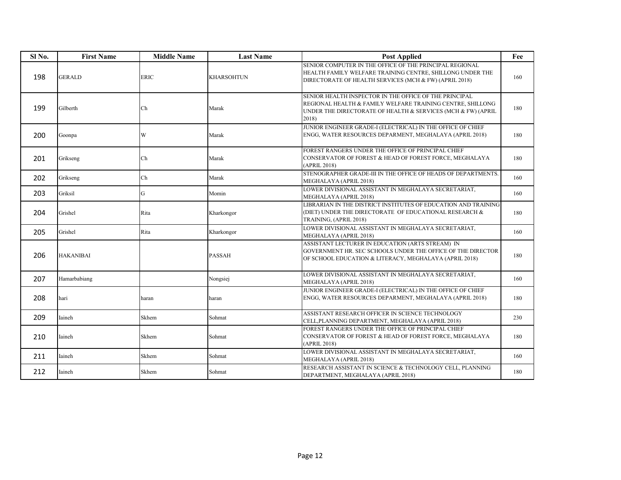| Sl No. | <b>First Name</b> | <b>Middle Name</b> | <b>Last Name</b>  | <b>Post Applied</b>                                                                                                                                                                           | Fee |
|--------|-------------------|--------------------|-------------------|-----------------------------------------------------------------------------------------------------------------------------------------------------------------------------------------------|-----|
| 198    | <b>GERALD</b>     | <b>ERIC</b>        | <b>KHARSOHTUN</b> | SENIOR COMPUTER IN THE OFFICE OF THE PRINCIPAL REGIONAL<br>HEALTH FAMILY WELFARE TRAINING CENTRE, SHILLONG UNDER THE<br>DIRECTORATE OF HEALTH SERVICES (MCH & FW) (APRIL 2018)                | 160 |
| 199    | Gilberth          | Ch                 | Marak             | SENIOR HEALTH INSPECTOR IN THE OFFICE OF THE PRINCIPAL<br>REGIONAL HEALTH & FAMILY WELFARE TRAINING CENTRE, SHILLONG<br>UNDER THE DIRECTORATE OF HEALTH & SERVICES (MCH & FW) (APRIL<br>2018) | 180 |
| 200    | Goonpa            | W                  | Marak             | JUNIOR ENGINEER GRADE-I (ELECTRICAL) IN THE OFFICE OF CHIEF<br>ENGG, WATER RESOURCES DEPARMENT, MEGHALAYA (APRIL 2018)                                                                        | 180 |
| 201    | Grikseng          | Ch                 | Marak             | FOREST RANGERS UNDER THE OFFICE OF PRINCIPAL CHIEF<br>CONSERVATOR OF FOREST & HEAD OF FOREST FORCE, MEGHALAYA<br>(APRIL 2018)                                                                 | 180 |
| 202    | Grikseng          | Ch                 | Marak             | STENOGRAPHER GRADE-III IN THE OFFICE OF HEADS OF DEPARTMENTS.<br>MEGHALAYA (APRIL 2018)                                                                                                       | 160 |
| 203    | Griksil           | G                  | Momin             | LOWER DIVISIONAL ASSISTANT IN MEGHALAYA SECRETARIAT,<br>MEGHALAYA (APRIL 2018)                                                                                                                | 160 |
| 204    | Grishel           | Rita               | Kharkongor        | LIBRARIAN IN THE DISTRICT INSTITUTES OF EDUCATION AND TRAINING<br>(DIET) UNDER THE DIRECTORATE OF EDUCATIONAL RESEARCH $\&$<br>TRAINING, (APRIL 2018)                                         | 180 |
| 205    | Grishel           | Rita               | Kharkongor        | LOWER DIVISIONAL ASSISTANT IN MEGHALAYA SECRETARIAT,<br>MEGHALAYA (APRIL 2018)                                                                                                                | 160 |
| 206    | <b>HAKANIBAI</b>  |                    | <b>PASSAH</b>     | ASSISTANT LECTURER IN EDUCATION (ARTS STREAM) IN<br>GOVERNMENT HR. SEC SCHOOLS UNDER THE OFFICE OF THE DIRECTOR<br>OF SCHOOL EDUCATION & LITERACY, MEGHALAYA (APRIL 2018)                     | 180 |
| 207    | Hamarbabiang      |                    | Nongsiej          | LOWER DIVISIONAL ASSISTANT IN MEGHALAYA SECRETARIAT,<br>MEGHALAYA (APRIL 2018)                                                                                                                | 160 |
| 208    | hari              | haran              | haran             | JUNIOR ENGINEER GRADE-I (ELECTRICAL) IN THE OFFICE OF CHIEF<br>ENGG, WATER RESOURCES DEPARMENT, MEGHALAYA (APRIL 2018)                                                                        | 180 |
| 209    | Iaineh            | Skhem              | Sohmat            | ASSISTANT RESEARCH OFFICER IN SCIENCE TECHNOLOGY<br>CELL, PLANNING DEPARTMENT, MEGHALAYA (APRIL 2018)                                                                                         | 230 |
| 210    | Iaineh            | Skhem              | Sohmat            | FOREST RANGERS UNDER THE OFFICE OF PRINCIPAL CHIEF<br>CONSERVATOR OF FOREST & HEAD OF FOREST FORCE, MEGHALAYA<br>(APRIL 2018)                                                                 | 180 |
| 211    | Iaineh            | Skhem              | Sohmat            | LOWER DIVISIONAL ASSISTANT IN MEGHALAYA SECRETARIAT,<br>MEGHALAYA (APRIL 2018)                                                                                                                | 160 |
| 212    | Iaineh            | Skhem              | Sohmat            | RESEARCH ASSISTANT IN SCIENCE & TECHNOLOGY CELL, PLANNING<br>DEPARTMENT, MEGHALAYA (APRIL 2018)                                                                                               | 180 |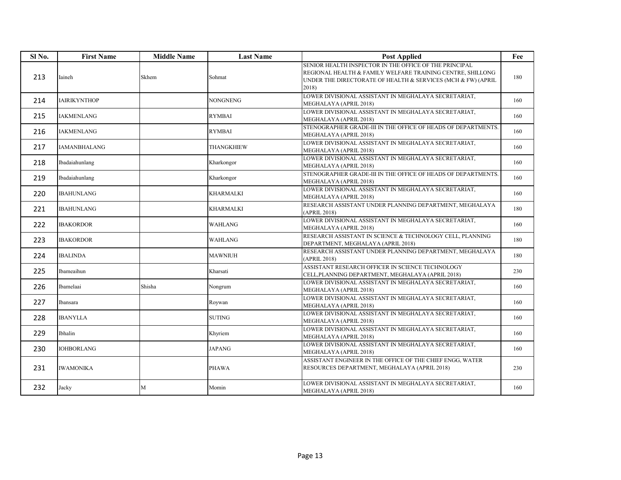| Sl No. | <b>First Name</b>   | <b>Middle Name</b> | <b>Last Name</b> | <b>Post Applied</b>                                                                                                                                                                           | Fee |
|--------|---------------------|--------------------|------------------|-----------------------------------------------------------------------------------------------------------------------------------------------------------------------------------------------|-----|
| 213    | Iaineh              | Skhem              | Sohmat           | SENIOR HEALTH INSPECTOR IN THE OFFICE OF THE PRINCIPAL<br>REGIONAL HEALTH & FAMILY WELFARE TRAINING CENTRE, SHILLONG<br>UNDER THE DIRECTORATE OF HEALTH & SERVICES (MCH & FW) (APRIL<br>2018) | 180 |
| 214    | <b>IAIRIKYNTHOP</b> |                    | <b>NONGNENG</b>  | LOWER DIVISIONAL ASSISTANT IN MEGHALAYA SECRETARIAT,<br>MEGHALAYA (APRIL 2018)                                                                                                                | 160 |
| 215    | <b>IAKMENLANG</b>   |                    | <b>RYMBAI</b>    | LOWER DIVISIONAL ASSISTANT IN MEGHALAYA SECRETARIAT,<br>MEGHALAYA (APRIL 2018)                                                                                                                | 160 |
| 216    | <b>IAKMENLANG</b>   |                    | <b>RYMBAI</b>    | STENOGRAPHER GRADE-III IN THE OFFICE OF HEADS OF DEPARTMENTS.<br>MEGHALAYA (APRIL 2018)                                                                                                       | 160 |
| 217    | IAMANBHALANG        |                    | THANGKHIEW       | LOWER DIVISIONAL ASSISTANT IN MEGHALAYA SECRETARIAT,<br>MEGHALAYA (APRIL 2018)                                                                                                                | 160 |
| 218    | Ibadaiahunlang      |                    | Kharkongor       | LOWER DIVISIONAL ASSISTANT IN MEGHALAYA SECRETARIAT,<br>MEGHALAYA (APRIL 2018)                                                                                                                | 160 |
| 219    | Ibadaiahunlang      |                    | Kharkongor       | STENOGRAPHER GRADE-III IN THE OFFICE OF HEADS OF DEPARTMENTS.<br>MEGHALAYA (APRIL 2018)                                                                                                       | 160 |
| 220    | <b>IBAHUNLANG</b>   |                    | KHARMALKI        | LOWER DIVISIONAL ASSISTANT IN MEGHALAYA SECRETARIAT,<br>MEGHALAYA (APRIL 2018)                                                                                                                | 160 |
| 221    | <b>IBAHUNLANG</b>   |                    | KHARMALKI        | RESEARCH ASSISTANT UNDER PLANNING DEPARTMENT, MEGHALAYA<br>(APRIL 2018)                                                                                                                       | 180 |
| 222    | <b>IBAKORDOR</b>    |                    | <b>WAHLANG</b>   | LOWER DIVISIONAL ASSISTANT IN MEGHALAYA SECRETARIAT,<br>MEGHALAYA (APRIL 2018)                                                                                                                | 160 |
| 223    | <b>IBAKORDOR</b>    |                    | WAHLANG          | RESEARCH ASSISTANT IN SCIENCE & TECHNOLOGY CELL, PLANNING<br>DEPARTMENT, MEGHALAYA (APRIL 2018)                                                                                               | 180 |
| 224    | <b>IBALINDA</b>     |                    | <b>MAWNIUH</b>   | RESEARCH ASSISTANT UNDER PLANNING DEPARTMENT, MEGHALAYA<br>(APRIL 2018)                                                                                                                       | 180 |
| 225    | Ibameaihun          |                    | Kharsati         | ASSISTANT RESEARCH OFFICER IN SCIENCE TECHNOLOGY<br>CELL, PLANNING DEPARTMENT, MEGHALAYA (APRIL 2018)                                                                                         | 230 |
| 226    | Ibamelaai           | Shisha             | Nongrum          | LOWER DIVISIONAL ASSISTANT IN MEGHALAYA SECRETARIAT,<br>MEGHALAYA (APRIL 2018)                                                                                                                | 160 |
| 227    | Ibansara            |                    | Roywan           | LOWER DIVISIONAL ASSISTANT IN MEGHALAYA SECRETARIAT,<br>MEGHALAYA (APRIL 2018)                                                                                                                | 160 |
| 228    | <b>IBANYLLA</b>     |                    | <b>SUTING</b>    | LOWER DIVISIONAL ASSISTANT IN MEGHALAYA SECRETARIAT,<br>MEGHALAYA (APRIL 2018)                                                                                                                | 160 |
| 229    | Ibhalin             |                    | Khyriem          | LOWER DIVISIONAL ASSISTANT IN MEGHALAYA SECRETARIAT,<br>MEGHALAYA (APRIL 2018)                                                                                                                | 160 |
| 230    | <b>IOHBORLANG</b>   |                    | <b>JAPANG</b>    | LOWER DIVISIONAL ASSISTANT IN MEGHALAYA SECRETARIAT,<br>MEGHALAYA (APRIL 2018)                                                                                                                | 160 |
| 231    | <b>IWAMONIKA</b>    |                    | <b>PHAWA</b>     | ASSISTANT ENGINEER IN THE OFFICE OF THE CHIEF ENGG, WATER<br>RESOURCES DEPARTMENT, MEGHALAYA (APRIL 2018)                                                                                     | 230 |
| 232    | Jacky               | M                  | Momin            | LOWER DIVISIONAL ASSISTANT IN MEGHALAYA SECRETARIAT,<br>MEGHALAYA (APRIL 2018)                                                                                                                | 160 |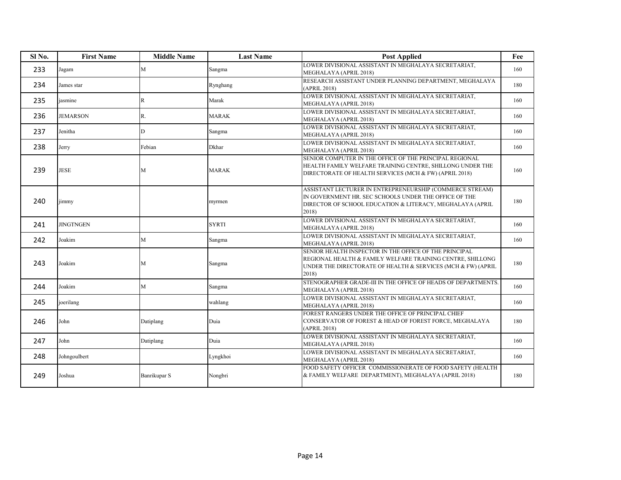| Sl No. | <b>First Name</b> | <b>Middle Name</b> | <b>Last Name</b> | <b>Post Applied</b>                                                                                                                                                                           | Fee |
|--------|-------------------|--------------------|------------------|-----------------------------------------------------------------------------------------------------------------------------------------------------------------------------------------------|-----|
| 233    | Jagam             | M                  | Sangma           | LOWER DIVISIONAL ASSISTANT IN MEGHALAYA SECRETARIAT,<br>MEGHALAYA (APRIL 2018)                                                                                                                | 160 |
| 234    | James star        |                    | Rynghang         | RESEARCH ASSISTANT UNDER PLANNING DEPARTMENT, MEGHALAYA<br>(APRIL 2018)                                                                                                                       | 180 |
| 235    | iasmine           | R                  | Marak            | LOWER DIVISIONAL ASSISTANT IN MEGHALAYA SECRETARIAT,<br>MEGHALAYA (APRIL 2018)                                                                                                                | 160 |
| 236    | <b>JEMARSON</b>   | R.                 | <b>MARAK</b>     | LOWER DIVISIONAL ASSISTANT IN MEGHALAYA SECRETARIAT,<br>MEGHALAYA (APRIL 2018)                                                                                                                | 160 |
| 237    | Jenitha           | D                  | Sangma           | LOWER DIVISIONAL ASSISTANT IN MEGHALAYA SECRETARIAT,<br>MEGHALAYA (APRIL 2018)                                                                                                                | 160 |
| 238    | Jerry             | Febian             | Dkhar            | LOWER DIVISIONAL ASSISTANT IN MEGHALAYA SECRETARIAT,<br>MEGHALAYA (APRIL 2018)                                                                                                                | 160 |
| 239    | <b>JESE</b>       | M                  | <b>MARAK</b>     | SENIOR COMPUTER IN THE OFFICE OF THE PRINCIPAL REGIONAL<br>HEALTH FAMILY WELFARE TRAINING CENTRE, SHILLONG UNDER THE<br>DIRECTORATE OF HEALTH SERVICES (MCH & FW) (APRIL 2018)                | 160 |
| 240    | jimmy             |                    | myrmen           | ASSISTANT LECTURER IN ENTREPRENEURSHIP (COMMERCE STREAM)<br>IN GOVERNMENT HR. SEC SCHOOLS UNDER THE OFFICE OF THE<br>DIRECTOR OF SCHOOL EDUCATION & LITERACY, MEGHALAYA (APRIL<br>2018)       | 180 |
| 241    | <b>JINGTNGEN</b>  |                    | <b>SYRTI</b>     | LOWER DIVISIONAL ASSISTANT IN MEGHALAYA SECRETARIAT,<br>MEGHALAYA (APRIL 2018)                                                                                                                | 160 |
| 242    | Joakim            | M                  | Sangma           | LOWER DIVISIONAL ASSISTANT IN MEGHALAYA SECRETARIAT,<br>MEGHALAYA (APRIL 2018)                                                                                                                | 160 |
| 243    | Joakim            | M                  | Sangma           | SENIOR HEALTH INSPECTOR IN THE OFFICE OF THE PRINCIPAL<br>REGIONAL HEALTH & FAMILY WELFARE TRAINING CENTRE, SHILLONG<br>UNDER THE DIRECTORATE OF HEALTH & SERVICES (MCH & FW) (APRIL<br>2018) | 180 |
| 244    | Joakim            | M                  | Sangma           | STENOGRAPHER GRADE-III IN THE OFFICE OF HEADS OF DEPARTMENTS.<br>MEGHALAYA (APRIL 2018)                                                                                                       | 160 |
| 245    | joerilang         |                    | wahlang          | LOWER DIVISIONAL ASSISTANT IN MEGHALAYA SECRETARIAT,<br>MEGHALAYA (APRIL 2018)                                                                                                                | 160 |
| 246    | John              | Datiplang          | Duia             | FOREST RANGERS UNDER THE OFFICE OF PRINCIPAL CHIEF<br>CONSERVATOR OF FOREST & HEAD OF FOREST FORCE, MEGHALAYA<br>(APRIL 2018)                                                                 | 180 |
| 247    | John              | Datiplang          | Duia             | LOWER DIVISIONAL ASSISTANT IN MEGHALAYA SECRETARIAT,<br>MEGHALAYA (APRIL 2018)                                                                                                                | 160 |
| 248    | Johngoulbert      |                    | Lyngkhoi         | LOWER DIVISIONAL ASSISTANT IN MEGHALAYA SECRETARIAT,<br>MEGHALAYA (APRIL 2018)                                                                                                                | 160 |
| 249    | Joshua            | Banrikupar S       | Nongbri          | FOOD SAFETY OFFICER COMMISSIONERATE OF FOOD SAFETY (HEALTH<br>& FAMILY WELFARE DEPARTMENT), MEGHALAYA (APRIL 2018)                                                                            | 180 |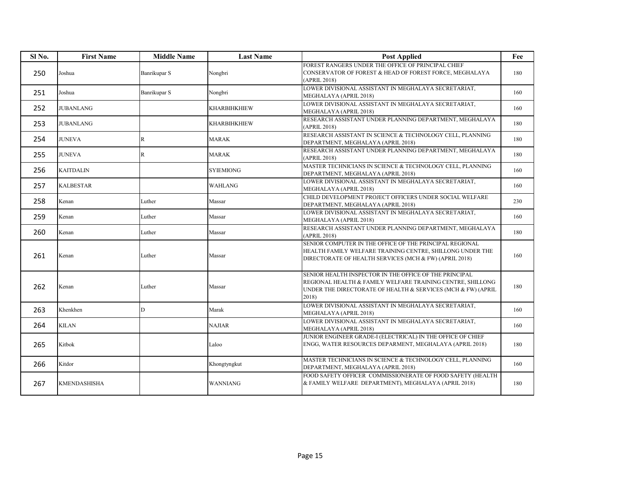| Sl No. | <b>First Name</b> | <b>Middle Name</b> | <b>Last Name</b>    | <b>Post Applied</b>                                                                                                                                                                           | Fee |
|--------|-------------------|--------------------|---------------------|-----------------------------------------------------------------------------------------------------------------------------------------------------------------------------------------------|-----|
| 250    | Joshua            | Banrikupar S       | Nongbri             | FOREST RANGERS UNDER THE OFFICE OF PRINCIPAL CHIEF<br>CONSERVATOR OF FOREST & HEAD OF FOREST FORCE, MEGHALAYA<br>(APRIL 2018)                                                                 | 180 |
| 251    | Joshua            | Banrikupar S       | Nongbri             | LOWER DIVISIONAL ASSISTANT IN MEGHALAYA SECRETARIAT,<br>MEGHALAYA (APRIL 2018)                                                                                                                | 160 |
| 252    | <b>JUBANLANG</b>  |                    | <b>KHARBIHKHIEW</b> | LOWER DIVISIONAL ASSISTANT IN MEGHALAYA SECRETARIAT,<br>MEGHALAYA (APRIL 2018)                                                                                                                | 160 |
| 253    | <b>JUBANLANG</b>  |                    | <b>KHARBIHKHIEW</b> | RESEARCH ASSISTANT UNDER PLANNING DEPARTMENT, MEGHALAYA<br>(APRIL 2018)                                                                                                                       | 180 |
| 254    | <b>JUNEVA</b>     | $\mathbb{R}$       | MARAK               | RESEARCH ASSISTANT IN SCIENCE & TECHNOLOGY CELL, PLANNING<br>DEPARTMENT, MEGHALAYA (APRIL 2018)                                                                                               | 180 |
| 255    | <b>JUNEVA</b>     | $\mathbb{R}$       | MARAK               | RESEARCH ASSISTANT UNDER PLANNING DEPARTMENT, MEGHALAYA<br>(APRIL 2018)                                                                                                                       | 180 |
| 256    | <b>KAITDALIN</b>  |                    | <b>SYIEMIONG</b>    | MASTER TECHNICIANS IN SCIENCE & TECHNOLOGY CELL, PLANNING<br>DEPARTMENT, MEGHALAYA (APRIL 2018)                                                                                               | 160 |
| 257    | <b>KALBESTAR</b>  |                    | <b>WAHLANG</b>      | LOWER DIVISIONAL ASSISTANT IN MEGHALAYA SECRETARIAT,<br>MEGHALAYA (APRIL 2018)                                                                                                                | 160 |
| 258    | Kenan             | Luther             | Massar              | CHILD DEVELOPMENT PROJECT OFFICERS UNDER SOCIAL WELFARE<br>DEPARTMENT, MEGHALAYA (APRIL 2018)                                                                                                 | 230 |
| 259    | Kenan             | Luther             | Massar              | LOWER DIVISIONAL ASSISTANT IN MEGHALAYA SECRETARIAT,<br>MEGHALAYA (APRIL 2018)                                                                                                                | 160 |
| 260    | Kenan             | Luther             | Massar              | RESEARCH ASSISTANT UNDER PLANNING DEPARTMENT, MEGHALAYA<br>(APRIL 2018)                                                                                                                       | 180 |
| 261    | Kenan             | Luther             | Massar              | SENIOR COMPUTER IN THE OFFICE OF THE PRINCIPAL REGIONAL<br>HEALTH FAMILY WELFARE TRAINING CENTRE, SHILLONG UNDER THE<br>DIRECTORATE OF HEALTH SERVICES (MCH & FW) (APRIL 2018)                | 160 |
| 262    | Kenan             | Luther             | Massar              | SENIOR HEALTH INSPECTOR IN THE OFFICE OF THE PRINCIPAL<br>REGIONAL HEALTH & FAMILY WELFARE TRAINING CENTRE, SHILLONG<br>UNDER THE DIRECTORATE OF HEALTH & SERVICES (MCH & FW) (APRIL<br>2018) | 180 |
| 263    | Khenkhen          | D                  | Marak               | LOWER DIVISIONAL ASSISTANT IN MEGHALAYA SECRETARIAT,<br>MEGHALAYA (APRIL 2018)                                                                                                                | 160 |
| 264    | <b>KILAN</b>      |                    | <b>NAJIAR</b>       | LOWER DIVISIONAL ASSISTANT IN MEGHALAYA SECRETARIAT,<br>MEGHALAYA (APRIL 2018)                                                                                                                | 160 |
| 265    | Kitbok            |                    | Laloo               | JUNIOR ENGINEER GRADE-I (ELECTRICAL) IN THE OFFICE OF CHIEF<br>ENGG, WATER RESOURCES DEPARMENT, MEGHALAYA (APRIL 2018)                                                                        | 180 |
| 266    | Kitdor            |                    | Khongtyngkut        | MASTER TECHNICIANS IN SCIENCE & TECHNOLOGY CELL, PLANNING<br>DEPARTMENT, MEGHALAYA (APRIL 2018)                                                                                               | 160 |
| 267    | KMENDASHISHA      |                    | <b>WANNIANG</b>     | FOOD SAFETY OFFICER COMMISSIONERATE OF FOOD SAFETY (HEALTH<br>& FAMILY WELFARE DEPARTMENT), MEGHALAYA (APRIL 2018)                                                                            | 180 |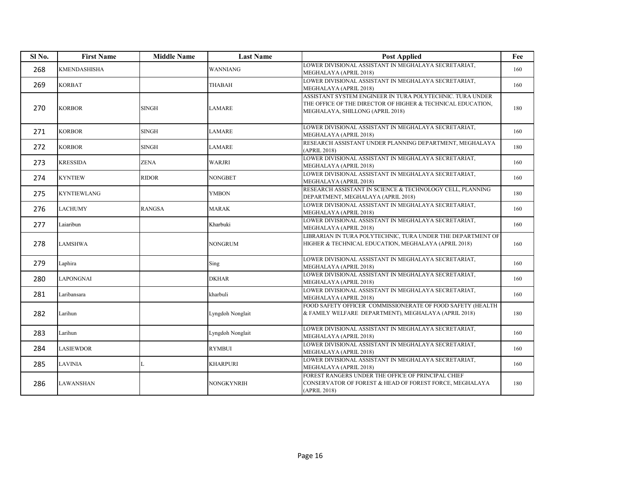| Sl No. | <b>First Name</b> | <b>Middle Name</b> | <b>Last Name</b> | <b>Post Applied</b>                                                                                                                                          | Fee |
|--------|-------------------|--------------------|------------------|--------------------------------------------------------------------------------------------------------------------------------------------------------------|-----|
| 268    | KMENDASHISHA      |                    | <b>WANNIANG</b>  | LOWER DIVISIONAL ASSISTANT IN MEGHALAYA SECRETARIAT,<br>MEGHALAYA (APRIL 2018)                                                                               | 160 |
| 269    | <b>KORBAT</b>     |                    | THABAH           | LOWER DIVISIONAL ASSISTANT IN MEGHALAYA SECRETARIAT,<br>MEGHALAYA (APRIL 2018)                                                                               | 160 |
| 270    | <b>KORBOR</b>     | SINGH              | <b>LAMARE</b>    | ASSISTANT SYSTEM ENGINEER IN TURA POLYTECHNIC. TURA UNDER<br>THE OFFICE OF THE DIRECTOR OF HIGHER & TECHNICAL EDUCATION,<br>MEGHALAYA, SHILLONG (APRIL 2018) | 180 |
| 271    | <b>KORBOR</b>     | <b>SINGH</b>       | LAMARE           | LOWER DIVISIONAL ASSISTANT IN MEGHALAYA SECRETARIAT,<br>MEGHALAYA (APRIL 2018)                                                                               | 160 |
| 272    | <b>KORBOR</b>     | SINGH              | LAMARE           | RESEARCH ASSISTANT UNDER PLANNING DEPARTMENT, MEGHALAYA<br>(APRIL 2018)                                                                                      | 180 |
| 273    | <b>KRESSIDA</b>   | ZENA               | WARJRI           | LOWER DIVISIONAL ASSISTANT IN MEGHALAYA SECRETARIAT,<br>MEGHALAYA (APRIL 2018)                                                                               | 160 |
| 274    | <b>KYNTIEW</b>    | <b>RIDOR</b>       | NONGBET          | LOWER DIVISIONAL ASSISTANT IN MEGHALAYA SECRETARIAT,<br>MEGHALAYA (APRIL 2018)                                                                               | 160 |
| 275    | KYNTIEWLANG       |                    | YMBON            | RESEARCH ASSISTANT IN SCIENCE & TECHNOLOGY CELL, PLANNING<br>DEPARTMENT, MEGHALAYA (APRIL 2018)                                                              | 180 |
| 276    | <b>LACHUMY</b>    | <b>RANGSA</b>      | MARAK            | LOWER DIVISIONAL ASSISTANT IN MEGHALAYA SECRETARIAT,<br>MEGHALAYA (APRIL 2018)                                                                               | 160 |
| 277    | Laiaribun         |                    | Kharbuki         | LOWER DIVISIONAL ASSISTANT IN MEGHALAYA SECRETARIAT,<br>MEGHALAYA (APRIL 2018)                                                                               | 160 |
| 278    | <b>LAMSHWA</b>    |                    | <b>NONGRUM</b>   | LIBRARIAN IN TURA POLYTECHNIC, TURA UNDER THE DEPARTMENT OF<br>HIGHER & TECHNICAL EDUCATION, MEGHALAYA (APRIL 2018)                                          | 160 |
| 279    | Laphira           |                    | Sing             | LOWER DIVISIONAL ASSISTANT IN MEGHALAYA SECRETARIAT,<br>MEGHALAYA (APRIL 2018)                                                                               | 160 |
| 280    | <b>LAPONGNAI</b>  |                    | <b>DKHAR</b>     | LOWER DIVISIONAL ASSISTANT IN MEGHALAYA SECRETARIAT,<br>MEGHALAYA (APRIL 2018)                                                                               | 160 |
| 281    | Laribansara       |                    | kharbuli         | LOWER DIVISIONAL ASSISTANT IN MEGHALAYA SECRETARIAT,<br>MEGHALAYA (APRIL 2018)                                                                               | 160 |
| 282    | Larihun           |                    | Lyngdoh Nonglait | FOOD SAFETY OFFICER COMMISSIONERATE OF FOOD SAFETY (HEALTH<br>& FAMILY WELFARE DEPARTMENT), MEGHALAYA (APRIL 2018)                                           | 180 |
| 283    | Larihun           |                    | Lyngdoh Nonglait | LOWER DIVISIONAL ASSISTANT IN MEGHALAYA SECRETARIAT,<br>MEGHALAYA (APRIL 2018)                                                                               | 160 |
| 284    | <b>LASIEWDOR</b>  |                    | <b>RYMBUI</b>    | LOWER DIVISIONAL ASSISTANT IN MEGHALAYA SECRETARIAT,<br>MEGHALAYA (APRIL 2018)                                                                               | 160 |
| 285    | <b>LAVINIA</b>    | L                  | <b>KHARPURI</b>  | LOWER DIVISIONAL ASSISTANT IN MEGHALAYA SECRETARIAT,<br>MEGHALAYA (APRIL 2018)                                                                               | 160 |
| 286    | LAWANSHAN         |                    | NONGKYNRIH       | FOREST RANGERS UNDER THE OFFICE OF PRINCIPAL CHIEF<br>CONSERVATOR OF FOREST & HEAD OF FOREST FORCE, MEGHALAYA<br>(APRIL 2018)                                | 180 |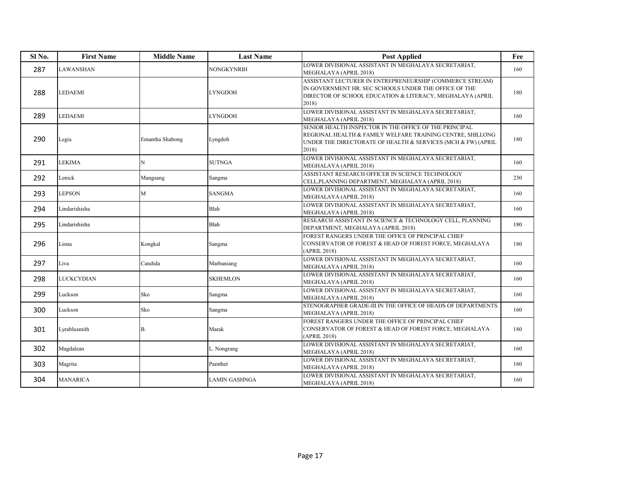| Sl <sub>No.</sub> | <b>First Name</b> | <b>Middle Name</b> | <b>Last Name</b> | <b>Post Applied</b>                                                                                                                                                                           | Fee |
|-------------------|-------------------|--------------------|------------------|-----------------------------------------------------------------------------------------------------------------------------------------------------------------------------------------------|-----|
| 287               | LAWANSHAN         |                    | NONGKYNRIH       | LOWER DIVISIONAL ASSISTANT IN MEGHALAYA SECRETARIAT,<br>MEGHALAYA (APRIL 2018)                                                                                                                | 160 |
| 288               | LEDAEMI           |                    | <b>LYNGDOH</b>   | ASSISTANT LECTURER IN ENTREPRENEURSHIP (COMMERCE STREAM)<br>IN GOVERNMENT HR. SEC SCHOOLS UNDER THE OFFICE OF THE<br>DIRECTOR OF SCHOOL EDUCATION & LITERACY, MEGHALAYA (APRIL<br>2018)       | 180 |
| 289               | <b>LEDAEMI</b>    |                    | <b>LYNGDOH</b>   | LOWER DIVISIONAL ASSISTANT IN MEGHALAYA SECRETARIAT,<br>MEGHALAYA (APRIL 2018)                                                                                                                | 160 |
| 290               | Legia             | Emantha Shabong    | Lyngdoh          | SENIOR HEALTH INSPECTOR IN THE OFFICE OF THE PRINCIPAL<br>REGIONAL HEALTH & FAMILY WELFARE TRAINING CENTRE, SHILLONG<br>UNDER THE DIRECTORATE OF HEALTH & SERVICES (MCH & FW) (APRIL<br>2018) | 180 |
| 291               | <b>LEKIMA</b>     | N                  | <b>SUTNGA</b>    | LOWER DIVISIONAL ASSISTANT IN MEGHALAYA SECRETARIAT,<br>MEGHALAYA (APRIL 2018)                                                                                                                | 160 |
| 292               | Lenick            | Mangsang           | Sangma           | ASSISTANT RESEARCH OFFICER IN SCIENCE TECHNOLOGY<br>CELL, PLANNING DEPARTMENT, MEGHALAYA (APRIL 2018)                                                                                         | 230 |
| 293               | <b>LEPSON</b>     | M                  | <b>SANGMA</b>    | LOWER DIVISIONAL ASSISTANT IN MEGHALAYA SECRETARIAT.<br>MEGHALAYA (APRIL 2018)                                                                                                                | 160 |
| 294               | Lindarishisha     |                    | Blah             | LOWER DIVISIONAL ASSISTANT IN MEGHALAYA SECRETARIAT,<br>MEGHALAYA (APRIL 2018)                                                                                                                | 160 |
| 295               | Lindarishisha     |                    | Blah             | RESEARCH ASSISTANT IN SCIENCE & TECHNOLOGY CELL, PLANNING<br>DEPARTMENT, MEGHALAYA (APRIL 2018)                                                                                               | 180 |
| 296               | Liona             | Kongkal            | Sangma           | FOREST RANGERS UNDER THE OFFICE OF PRINCIPAL CHIEF<br>CONSERVATOR OF FOREST & HEAD OF FOREST FORCE, MEGHALAYA<br>(APRIL 2018)                                                                 | 180 |
| 297               | Liva              | Candida            | Marbaniang       | LOWER DIVISIONAL ASSISTANT IN MEGHALAYA SECRETARIAT,<br>MEGHALAYA (APRIL 2018)                                                                                                                | 160 |
| 298               | LUCKCYDIAN        |                    | <b>SKHEMLON</b>  | LOWER DIVISIONAL ASSISTANT IN MEGHALAYA SECRETARIAT,<br>MEGHALAYA (APRIL 2018)                                                                                                                | 160 |
| 299               | Luckson           | Sko                | Sangma           | LOWER DIVISIONAL ASSISTANT IN MEGHALAYA SECRETARIAT,<br>MEGHALAYA (APRIL 2018)                                                                                                                | 160 |
| 300               | Luckson           | Sko                | Sangma           | STENOGRAPHER GRADE-III IN THE OFFICE OF HEADS OF DEPARTMENTS.<br>MEGHALAYA (APRIL 2018)                                                                                                       | 160 |
| 301               | Lyrablusmith      | <b>B.</b>          | Marak            | FOREST RANGERS UNDER THE OFFICE OF PRINCIPAL CHIEF<br>CONSERVATOR OF FOREST & HEAD OF FOREST FORCE, MEGHALAYA<br>(APRIL 2018)                                                                 | 180 |
| 302               | Magdalean         |                    | L. Nongrang      | LOWER DIVISIONAL ASSISTANT IN MEGHALAYA SECRETARIAT,<br>MEGHALAYA (APRIL 2018)                                                                                                                | 160 |
| 303               | Magrita           |                    | Pamthet          | LOWER DIVISIONAL ASSISTANT IN MEGHALAYA SECRETARIAT,<br>MEGHALAYA (APRIL 2018)                                                                                                                | 160 |
| 304               | <b>MANARICA</b>   |                    | LAMIN GASHNGA    | LOWER DIVISIONAL ASSISTANT IN MEGHALAYA SECRETARIAT.<br>MEGHALAYA (APRIL 2018)                                                                                                                | 160 |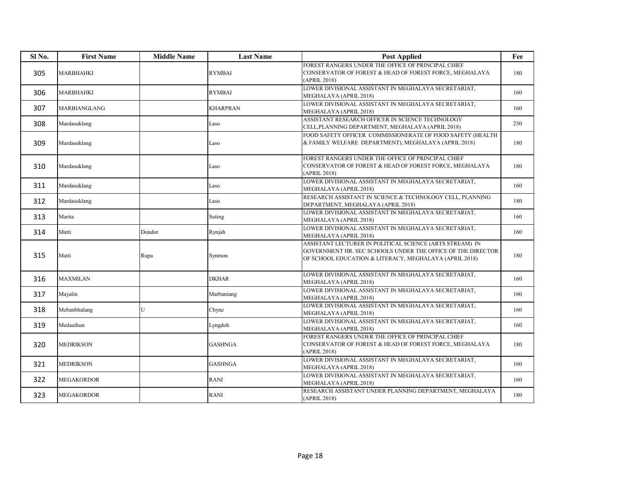| Sl <sub>No.</sub> | <b>First Name</b>   | <b>Middle Name</b> | <b>Last Name</b> | <b>Post Applied</b>                                                                                                                                                               | Fee |
|-------------------|---------------------|--------------------|------------------|-----------------------------------------------------------------------------------------------------------------------------------------------------------------------------------|-----|
| 305               | <b>MARBHAHKI</b>    |                    | <b>RYMBAI</b>    | FOREST RANGERS UNDER THE OFFICE OF PRINCIPAL CHIEF<br>CONSERVATOR OF FOREST & HEAD OF FOREST FORCE, MEGHALAYA<br>(APRIL 2018)                                                     | 180 |
| 306               | <b>MARBHAHKI</b>    |                    | <b>RYMBAI</b>    | LOWER DIVISIONAL ASSISTANT IN MEGHALAYA SECRETARIAT,<br>MEGHALAYA (APRIL 2018)                                                                                                    | 160 |
| 307               | <b>MARBIANGLANG</b> |                    | <b>KHARPRAN</b>  | LOWER DIVISIONAL ASSISTANT IN MEGHALAYA SECRETARIAT,<br>MEGHALAYA (APRIL 2018)                                                                                                    | 160 |
| 308               | Mardasuklang        |                    | Laso             | ASSISTANT RESEARCH OFFICER IN SCIENCE TECHNOLOGY<br>CELL, PLANNING DEPARTMENT, MEGHALAYA (APRIL 2018)                                                                             | 230 |
| 309               | Mardasuklang        |                    | Laso             | FOOD SAFETY OFFICER COMMISSIONERATE OF FOOD SAFETY (HEALTH<br>& FAMILY WELFARE DEPARTMENT), MEGHALAYA (APRIL 2018)                                                                | 180 |
| 310               | Mardasuklang        |                    | Laso             | FOREST RANGERS UNDER THE OFFICE OF PRINCIPAL CHIEF<br>CONSERVATOR OF FOREST & HEAD OF FOREST FORCE, MEGHALAYA<br>(APRIL 2018)                                                     | 180 |
| 311               | Mardasuklang        |                    | Laso             | LOWER DIVISIONAL ASSISTANT IN MEGHALAYA SECRETARIAT,<br>MEGHALAYA (APRIL 2018)                                                                                                    | 160 |
| 312               | Mardasuklang        |                    | Laso             | RESEARCH ASSISTANT IN SCIENCE & TECHNOLOGY CELL, PLANNING<br>DEPARTMENT, MEGHALAYA (APRIL 2018)                                                                                   | 180 |
| 313               | Marita              |                    | Suting           | LOWER DIVISIONAL ASSISTANT IN MEGHALAYA SECRETARIAT,<br>MEGHALAYA (APRIL 2018)                                                                                                    | 160 |
| 314               | Matti               | Dondor             | Rynjah           | LOWER DIVISIONAL ASSISTANT IN MEGHALAYA SECRETARIAT,<br>MEGHALAYA (APRIL 2018)                                                                                                    | 160 |
| 315               | Matti               | Rupa               | Synmon           | ASSISTANT LECTURER IN POLITICAL SCIENCE (ARTS STREAM) IN<br>GOVERNMENT HR. SEC SCHOOLS UNDER THE OFFICE OF THE DIRECTOR<br>OF SCHOOL EDUCATION & LITERACY, MEGHALAYA (APRIL 2018) | 180 |
| 316               | <b>MAXMILAN</b>     |                    | <b>DKHAR</b>     | LOWER DIVISIONAL ASSISTANT IN MEGHALAYA SECRETARIAT,<br>MEGHALAYA (APRIL 2018)                                                                                                    | 160 |
| 317               | Mayalin             |                    | Marbaniang       | LOWER DIVISIONAL ASSISTANT IN MEGHALAYA SECRETARIAT,<br>MEGHALAYA (APRIL 2018)                                                                                                    | 160 |
| 318               | Mebanbhalang        | U                  | Chyne            | LOWER DIVISIONAL ASSISTANT IN MEGHALAYA SECRETARIAT,<br>MEGHALAYA (APRIL 2018)                                                                                                    | 160 |
| 319               | Medaaihun           |                    | Lyngdoh          | LOWER DIVISIONAL ASSISTANT IN MEGHALAYA SECRETARIAT,<br>MEGHALAYA (APRIL 2018)                                                                                                    | 160 |
| 320               | <b>MEDRIKSON</b>    |                    | <b>GASHNGA</b>   | FOREST RANGERS UNDER THE OFFICE OF PRINCIPAL CHIEF<br>CONSERVATOR OF FOREST & HEAD OF FOREST FORCE, MEGHALAYA<br>(APRIL 2018)                                                     | 180 |
| 321               | <b>MEDRIKSON</b>    |                    | <b>GASHNGA</b>   | LOWER DIVISIONAL ASSISTANT IN MEGHALAYA SECRETARIAT,<br>MEGHALAYA (APRIL 2018)                                                                                                    | 160 |
| 322               | <b>MEGAKORDOR</b>   |                    | <b>RANI</b>      | LOWER DIVISIONAL ASSISTANT IN MEGHALAYA SECRETARIAT,<br>MEGHALAYA (APRIL 2018)                                                                                                    | 160 |
| 323               | <b>MEGAKORDOR</b>   |                    | RANI             | RESEARCH ASSISTANT UNDER PLANNING DEPARTMENT, MEGHALAYA<br>(APRIL 2018)                                                                                                           | 180 |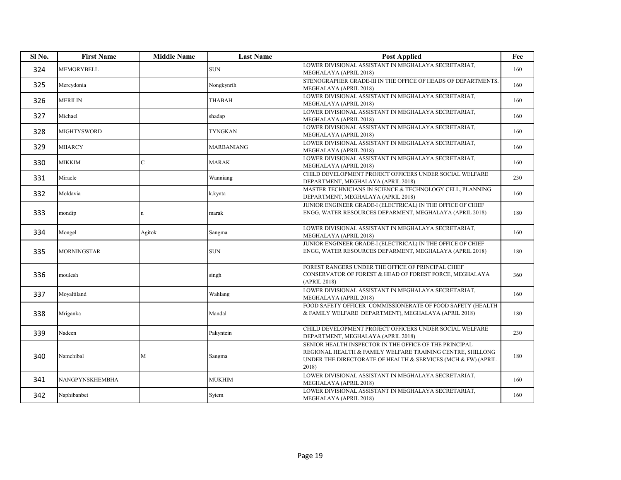| Sl <sub>No.</sub> | <b>First Name</b>  | <b>Middle Name</b> | <b>Last Name</b> | <b>Post Applied</b>                                                                                                                                                                           | Fee |
|-------------------|--------------------|--------------------|------------------|-----------------------------------------------------------------------------------------------------------------------------------------------------------------------------------------------|-----|
| 324               | <b>MEMORYBELL</b>  |                    | <b>SUN</b>       | LOWER DIVISIONAL ASSISTANT IN MEGHALAYA SECRETARIAT.<br>MEGHALAYA (APRIL 2018)                                                                                                                | 160 |
| 325               | Mercydonia         |                    | Nongkynrih       | STENOGRAPHER GRADE-III IN THE OFFICE OF HEADS OF DEPARTMENTS.<br>MEGHALAYA (APRIL 2018)                                                                                                       | 160 |
| 326               | <b>MERILIN</b>     |                    | <b>THABAH</b>    | LOWER DIVISIONAL ASSISTANT IN MEGHALAYA SECRETARIAT,<br>MEGHALAYA (APRIL 2018)                                                                                                                | 160 |
| 327               | Michael            |                    | shadap           | LOWER DIVISIONAL ASSISTANT IN MEGHALAYA SECRETARIAT,<br>MEGHALAYA (APRIL 2018)                                                                                                                | 160 |
| 328               | <b>MIGHTYSWORD</b> |                    | <b>TYNGKAN</b>   | LOWER DIVISIONAL ASSISTANT IN MEGHALAYA SECRETARIAT,<br>MEGHALAYA (APRIL 2018)                                                                                                                | 160 |
| 329               | <b>MIIARCY</b>     |                    | MARBANIANG       | LOWER DIVISIONAL ASSISTANT IN MEGHALAYA SECRETARIAT,<br>MEGHALAYA (APRIL 2018)                                                                                                                | 160 |
| 330               | MIKKIM             | $\mathcal{C}$      | <b>MARAK</b>     | LOWER DIVISIONAL ASSISTANT IN MEGHALAYA SECRETARIAT.<br>MEGHALAYA (APRIL 2018)                                                                                                                | 160 |
| 331               | Miracle            |                    | Wanniang         | CHILD DEVELOPMENT PROJECT OFFICERS UNDER SOCIAL WELFARE<br>DEPARTMENT, MEGHALAYA (APRIL 2018)                                                                                                 | 230 |
| 332               | Moldavia           |                    | k.kynta          | MASTER TECHNICIANS IN SCIENCE & TECHNOLOGY CELL, PLANNING<br>DEPARTMENT, MEGHALAYA (APRIL 2018)                                                                                               | 160 |
| 333               | mondip             | $\mathbf n$        | marak            | JUNIOR ENGINEER GRADE-I (ELECTRICAL) IN THE OFFICE OF CHIEF<br>ENGG, WATER RESOURCES DEPARMENT, MEGHALAYA (APRIL 2018)                                                                        | 180 |
| 334               | Mongel             | Agitok             | Sangma           | LOWER DIVISIONAL ASSISTANT IN MEGHALAYA SECRETARIAT,<br>MEGHALAYA (APRIL 2018)                                                                                                                | 160 |
| 335               | <b>MORNINGSTAR</b> |                    | <b>SUN</b>       | JUNIOR ENGINEER GRADE-I (ELECTRICAL) IN THE OFFICE OF CHIEF<br>ENGG, WATER RESOURCES DEPARMENT, MEGHALAYA (APRIL 2018)                                                                        | 180 |
| 336               | moulesh            |                    | singh            | FOREST RANGERS UNDER THE OFFICE OF PRINCIPAL CHIEF<br>CONSERVATOR OF FOREST & HEAD OF FOREST FORCE, MEGHALAYA<br>(APRIL 2018)                                                                 | 360 |
| 337               | Moyaltiland        |                    | Wahlang          | LOWER DIVISIONAL ASSISTANT IN MEGHALAYA SECRETARIAT,<br>MEGHALAYA (APRIL 2018)                                                                                                                | 160 |
| 338               | Mriganka           |                    | Mandal           | FOOD SAFETY OFFICER COMMISSIONERATE OF FOOD SAFETY (HEALTH<br>& FAMILY WELFARE DEPARTMENT), MEGHALAYA (APRIL 2018)                                                                            | 180 |
| 339               | Nadeen             |                    | Pakyntein        | CHILD DEVELOPMENT PROJECT OFFICERS UNDER SOCIAL WELFARE<br>DEPARTMENT, MEGHALAYA (APRIL 2018)                                                                                                 | 230 |
| 340               | Namchibal          | М                  | Sangma           | SENIOR HEALTH INSPECTOR IN THE OFFICE OF THE PRINCIPAL<br>REGIONAL HEALTH & FAMILY WELFARE TRAINING CENTRE, SHILLONG<br>UNDER THE DIRECTORATE OF HEALTH & SERVICES (MCH & FW) (APRIL<br>2018) | 180 |
| 341               | NANGPYNSKHEMBHA    |                    | <b>MUKHIM</b>    | LOWER DIVISIONAL ASSISTANT IN MEGHALAYA SECRETARIAT,<br>MEGHALAYA (APRIL 2018)                                                                                                                | 160 |
| 342               | Naphibanbet        |                    | Syiem            | LOWER DIVISIONAL ASSISTANT IN MEGHALAYA SECRETARIAT,<br>MEGHALAYA (APRIL 2018)                                                                                                                | 160 |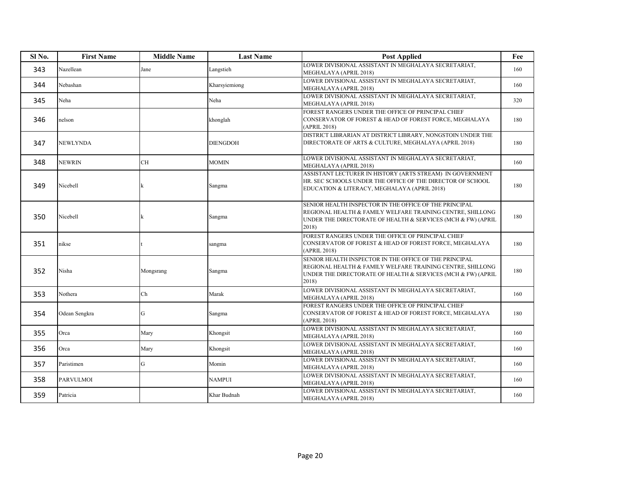| Sl No. | <b>First Name</b> | <b>Middle Name</b> | <b>Last Name</b> | <b>Post Applied</b>                                                                                                                                                                           | Fee |
|--------|-------------------|--------------------|------------------|-----------------------------------------------------------------------------------------------------------------------------------------------------------------------------------------------|-----|
| 343    | Nazellean         | Jane               | Langstieh        | LOWER DIVISIONAL ASSISTANT IN MEGHALAYA SECRETARIAT.<br>MEGHALAYA (APRIL 2018)                                                                                                                | 160 |
| 344    | Nebashan          |                    | Kharsyiemiong    | LOWER DIVISIONAL ASSISTANT IN MEGHALAYA SECRETARIAT,<br>MEGHALAYA (APRIL 2018)                                                                                                                | 160 |
| 345    | Neha              |                    | Neha             | LOWER DIVISIONAL ASSISTANT IN MEGHALAYA SECRETARIAT,<br>MEGHALAYA (APRIL 2018)                                                                                                                | 320 |
| 346    | nelson            |                    | khonglah         | FOREST RANGERS UNDER THE OFFICE OF PRINCIPAL CHIEF<br>CONSERVATOR OF FOREST & HEAD OF FOREST FORCE, MEGHALAYA<br>(APRIL 2018)                                                                 | 180 |
| 347    | <b>NEWLYNDA</b>   |                    | <b>DIENGDOH</b>  | DISTRICT LIBRARIAN AT DISTRICT LIBRARY, NONGSTOIN UNDER THE<br>DIRECTORATE OF ARTS & CULTURE, MEGHALAYA (APRIL 2018)                                                                          | 180 |
| 348    | <b>NEWRIN</b>     | СH                 | <b>MOMIN</b>     | LOWER DIVISIONAL ASSISTANT IN MEGHALAYA SECRETARIAT,<br>MEGHALAYA (APRIL 2018)                                                                                                                | 160 |
| 349    | Nicebell          |                    | Sangma           | ASSISTANT LECTURER IN HISTORY (ARTS STREAM) IN GOVERNMENT<br>HR. SEC SCHOOLS UNDER THE OFFICE OF THE DIRECTOR OF SCHOOL<br>EDUCATION & LITERACY, MEGHALAYA (APRIL 2018)                       | 180 |
| 350    | Nicebell          |                    | Sangma           | SENIOR HEALTH INSPECTOR IN THE OFFICE OF THE PRINCIPAL<br>REGIONAL HEALTH & FAMILY WELFARE TRAINING CENTRE, SHILLONG<br>UNDER THE DIRECTORATE OF HEALTH & SERVICES (MCH & FW) (APRIL<br>2018) | 180 |
| 351    | nikse             |                    | sangma           | FOREST RANGERS UNDER THE OFFICE OF PRINCIPAL CHIEF<br>CONSERVATOR OF FOREST & HEAD OF FOREST FORCE, MEGHALAYA<br>(APRIL 2018)                                                                 | 180 |
| 352    | Nisha             | Mongsrang          | Sangma           | SENIOR HEALTH INSPECTOR IN THE OFFICE OF THE PRINCIPAL<br>REGIONAL HEALTH & FAMILY WELFARE TRAINING CENTRE, SHILLONG<br>UNDER THE DIRECTORATE OF HEALTH & SERVICES (MCH & FW) (APRIL<br>2018) | 180 |
| 353    | Nothera           | Ch                 | Marak            | LOWER DIVISIONAL ASSISTANT IN MEGHALAYA SECRETARIAT,<br>MEGHALAYA (APRIL 2018)                                                                                                                | 160 |
| 354    | Odean Sengkra     | G                  | Sangma           | FOREST RANGERS UNDER THE OFFICE OF PRINCIPAL CHIEF<br>CONSERVATOR OF FOREST & HEAD OF FOREST FORCE, MEGHALAYA<br>(APRIL 2018)                                                                 | 180 |
| 355    | Orca              | Mary               | Khongsit         | LOWER DIVISIONAL ASSISTANT IN MEGHALAYA SECRETARIAT,<br>MEGHALAYA (APRIL 2018)                                                                                                                | 160 |
| 356    | Orca              | Mary               | Khongsit         | LOWER DIVISIONAL ASSISTANT IN MEGHALAYA SECRETARIAT,<br>MEGHALAYA (APRIL 2018)                                                                                                                | 160 |
| 357    | Paristimen        | G                  | Momin            | LOWER DIVISIONAL ASSISTANT IN MEGHALAYA SECRETARIAT,<br>MEGHALAYA (APRIL 2018)                                                                                                                | 160 |
| 358    | <b>PARVULMOI</b>  |                    | <b>NAMPUI</b>    | LOWER DIVISIONAL ASSISTANT IN MEGHALAYA SECRETARIAT,<br>MEGHALAYA (APRIL 2018)                                                                                                                | 160 |
| 359    | Patricia          |                    | Khar Budnah      | LOWER DIVISIONAL ASSISTANT IN MEGHALAYA SECRETARIAT.<br>MEGHALAYA (APRIL 2018)                                                                                                                | 160 |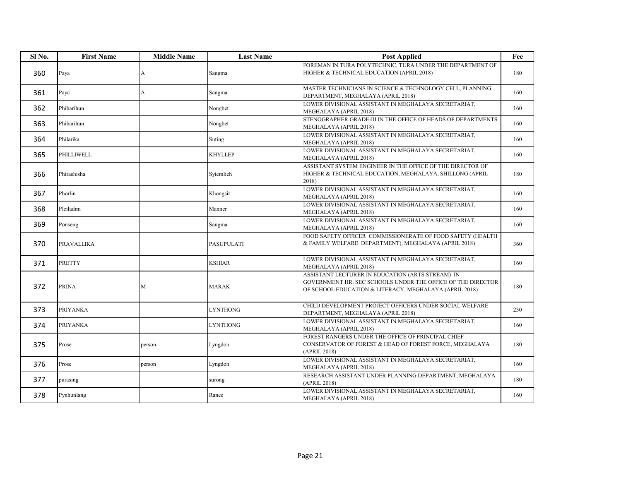| Sl <sub>No.</sub> | <b>First Name</b> | <b>Middle Name</b> | <b>Last Name</b> | <b>Post Applied</b>                                                                                                                                                       | Fee |
|-------------------|-------------------|--------------------|------------------|---------------------------------------------------------------------------------------------------------------------------------------------------------------------------|-----|
| 360               | Paya              | A                  | Sangma           | FOREMAN IN TURA POLYTECHNIC. TURA UNDER THE DEPARTMENT OF<br>HIGHER & TECHNICAL EDUCATION (APRIL 2018)                                                                    | 180 |
| 361               | Paya              | A                  | Sangma           | MASTER TECHNICIANS IN SCIENCE & TECHNOLOGY CELL, PLANNING<br>DEPARTMENT, MEGHALAYA (APRIL 2018)                                                                           | 160 |
| 362               | Phibarihun        |                    | Nongbet          | LOWER DIVISIONAL ASSISTANT IN MEGHALAYA SECRETARIAT,<br>MEGHALAYA (APRIL 2018)                                                                                            | 160 |
| 363               | Phibarihun        |                    | Nongbet          | STENOGRAPHER GRADE-III IN THE OFFICE OF HEADS OF DEPARTMENTS.<br>MEGHALAYA (APRIL 2018)                                                                                   | 160 |
| 364               | Philarika         |                    | Suting           | LOWER DIVISIONAL ASSISTANT IN MEGHALAYA SECRETARIAT,<br>MEGHALAYA (APRIL 2018)                                                                                            | 160 |
| 365               | PHILLIWELL        |                    | <b>KHYLLEP</b>   | LOWER DIVISIONAL ASSISTANT IN MEGHALAYA SECRETARIAT,<br>MEGHALAYA (APRIL 2018)                                                                                            | 160 |
| 366               | Phirashisha       |                    | Sviemlieh        | ASSISTANT SYSTEM ENGINEER IN THE OFFICE OF THE DIRECTOR OF<br>HIGHER & TECHNICAL EDUCATION, MEGHALAYA, SHILLONG (APRIL<br>2018)                                           | 180 |
| 367               | Phorlin           |                    | Khongsit         | LOWER DIVISIONAL ASSISTANT IN MEGHALAYA SECRETARIAT,<br>MEGHALAYA (APRIL 2018)                                                                                            | 160 |
| 368               | Pleiladmi         |                    | Manner           | LOWER DIVISIONAL ASSISTANT IN MEGHALAYA SECRETARIAT,<br>MEGHALAYA (APRIL 2018)                                                                                            | 160 |
| 369               | Ponseng           |                    | Sangma           | LOWER DIVISIONAL ASSISTANT IN MEGHALAYA SECRETARIAT,<br>MEGHALAYA (APRIL 2018)                                                                                            | 160 |
| 370               | PRAVALLIKA        |                    | PASUPULATI       | FOOD SAFETY OFFICER COMMISSIONERATE OF FOOD SAFETY (HEALTH<br>& FAMILY WELFARE DEPARTMENT), MEGHALAYA (APRIL 2018)                                                        | 360 |
| 371               | PRETTY            |                    | KSHIAR           | LOWER DIVISIONAL ASSISTANT IN MEGHALAYA SECRETARIAT,<br>MEGHALAYA (APRIL 2018)                                                                                            | 160 |
| 372               | <b>PRINA</b>      | M                  | <b>MARAK</b>     | ASSISTANT LECTURER IN EDUCATION (ARTS STREAM) IN<br>GOVERNMENT HR. SEC SCHOOLS UNDER THE OFFICE OF THE DIRECTOR<br>OF SCHOOL EDUCATION & LITERACY, MEGHALAYA (APRIL 2018) | 180 |
| 373               | PRIYANKA          |                    | LYNTHONG         | CHILD DEVELOPMENT PROJECT OFFICERS UNDER SOCIAL WELFARE<br>DEPARTMENT, MEGHALAYA (APRIL 2018)                                                                             | 230 |
| 374               | <b>PRIYANKA</b>   |                    | <b>LYNTHONG</b>  | LOWER DIVISIONAL ASSISTANT IN MEGHALAYA SECRETARIAT,<br>MEGHALAYA (APRIL 2018)                                                                                            | 160 |
| 375               | Prose             | person             | Lyngdoh          | FOREST RANGERS UNDER THE OFFICE OF PRINCIPAL CHIEF<br>CONSERVATOR OF FOREST & HEAD OF FOREST FORCE, MEGHALAYA<br>(APRIL 2018)                                             | 180 |
| 376               | Prose             | person             | Lyngdoh          | LOWER DIVISIONAL ASSISTANT IN MEGHALAYA SECRETARIAT,<br>MEGHALAYA (APRIL 2018)                                                                                            | 160 |
| 377               | purasing          |                    | surong           | RESEARCH ASSISTANT UNDER PLANNING DEPARTMENT, MEGHALAYA<br>(APRIL 2018)                                                                                                   | 180 |
| 378               | Pynhunlang        |                    | Ranee            | LOWER DIVISIONAL ASSISTANT IN MEGHALAYA SECRETARIAT,<br>MEGHALAYA (APRIL 2018)                                                                                            | 160 |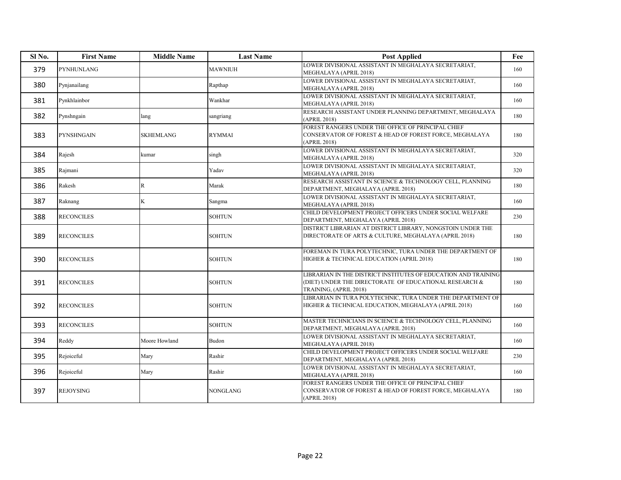| Sl No. | <b>First Name</b> | <b>Middle Name</b> | <b>Last Name</b> | <b>Post Applied</b>                                                                                                                                | Fee |
|--------|-------------------|--------------------|------------------|----------------------------------------------------------------------------------------------------------------------------------------------------|-----|
| 379    | PYNHUNLANG        |                    | <b>MAWNIUH</b>   | LOWER DIVISIONAL ASSISTANT IN MEGHALAYA SECRETARIAT.<br>MEGHALAYA (APRIL 2018)                                                                     | 160 |
| 380    | Pynjanailang      |                    | Rapthap          | LOWER DIVISIONAL ASSISTANT IN MEGHALAYA SECRETARIAT,<br>MEGHALAYA (APRIL 2018)                                                                     | 160 |
| 381    | Pynkhlainbor      |                    | Wankhar          | LOWER DIVISIONAL ASSISTANT IN MEGHALAYA SECRETARIAT,<br>MEGHALAYA (APRIL 2018)                                                                     | 160 |
| 382    | Pynshngain        | lang               | sangriang        | RESEARCH ASSISTANT UNDER PLANNING DEPARTMENT, MEGHALAYA<br>(APRIL 2018)                                                                            | 180 |
| 383    | PYNSHNGAIN        | <b>SKHEMLANG</b>   | <b>RYMMAI</b>    | FOREST RANGERS UNDER THE OFFICE OF PRINCIPAL CHIEF<br>CONSERVATOR OF FOREST & HEAD OF FOREST FORCE, MEGHALAYA<br>(APRIL 2018)                      | 180 |
| 384    | Rajesh            | kumar              | singh            | LOWER DIVISIONAL ASSISTANT IN MEGHALAYA SECRETARIAT,<br>MEGHALAYA (APRIL 2018)                                                                     | 320 |
| 385    | Rajmani           |                    | Yadav            | LOWER DIVISIONAL ASSISTANT IN MEGHALAYA SECRETARIAT,<br>MEGHALAYA (APRIL 2018)                                                                     | 320 |
| 386    | Rakesh            | $\mathbb R$        | Marak            | RESEARCH ASSISTANT IN SCIENCE & TECHNOLOGY CELL, PLANNING<br>DEPARTMENT, MEGHALAYA (APRIL 2018)                                                    | 180 |
| 387    | Raknang           | K                  | Sangma           | LOWER DIVISIONAL ASSISTANT IN MEGHALAYA SECRETARIAT,<br>MEGHALAYA (APRIL 2018)                                                                     | 160 |
| 388    | <b>RECONCILES</b> |                    | SOHTUN           | CHILD DEVELOPMENT PROJECT OFFICERS UNDER SOCIAL WELFARE<br>DEPARTMENT, MEGHALAYA (APRIL 2018)                                                      | 230 |
| 389    | <b>RECONCILES</b> |                    | <b>SOHTUN</b>    | DISTRICT LIBRARIAN AT DISTRICT LIBRARY, NONGSTOIN UNDER THE<br>DIRECTORATE OF ARTS & CULTURE, MEGHALAYA (APRIL 2018)                               | 180 |
| 390    | <b>RECONCILES</b> |                    | <b>SOHTUN</b>    | FOREMAN IN TURA POLYTECHNIC, TURA UNDER THE DEPARTMENT OF<br>HIGHER & TECHNICAL EDUCATION (APRIL 2018)                                             | 180 |
| 391    | <b>RECONCILES</b> |                    | <b>SOHTUN</b>    | LIBRARIAN IN THE DISTRICT INSTITUTES OF EDUCATION AND TRAINING<br>(DIET) UNDER THE DIRECTORATE OF EDUCATIONAL RESEARCH &<br>TRAINING, (APRIL 2018) | 180 |
| 392    | <b>RECONCILES</b> |                    | <b>SOHTUN</b>    | LIBRARIAN IN TURA POLYTECHNIC, TURA UNDER THE DEPARTMENT OF<br>HIGHER & TECHNICAL EDUCATION, MEGHALAYA (APRIL 2018)                                | 160 |
| 393    | <b>RECONCILES</b> |                    | <b>SOHTUN</b>    | MASTER TECHNICIANS IN SCIENCE & TECHNOLOGY CELL, PLANNING<br>DEPARTMENT, MEGHALAYA (APRIL 2018)                                                    | 160 |
| 394    | Reddy             | Moore Howland      | Budon            | LOWER DIVISIONAL ASSISTANT IN MEGHALAYA SECRETARIAT,<br>MEGHALAYA (APRIL 2018)                                                                     | 160 |
| 395    | Rejoiceful        | Mary               | Rashir           | CHILD DEVELOPMENT PROJECT OFFICERS UNDER SOCIAL WELFARE<br>DEPARTMENT, MEGHALAYA (APRIL 2018)                                                      | 230 |
| 396    | Rejoiceful        | Mary               | Rashir           | LOWER DIVISIONAL ASSISTANT IN MEGHALAYA SECRETARIAT,<br>MEGHALAYA (APRIL 2018)                                                                     | 160 |
| 397    | <b>REJOYSING</b>  |                    | NONGLANG         | FOREST RANGERS UNDER THE OFFICE OF PRINCIPAL CHIEF<br>CONSERVATOR OF FOREST & HEAD OF FOREST FORCE, MEGHALAYA<br>(APRIL 2018)                      | 180 |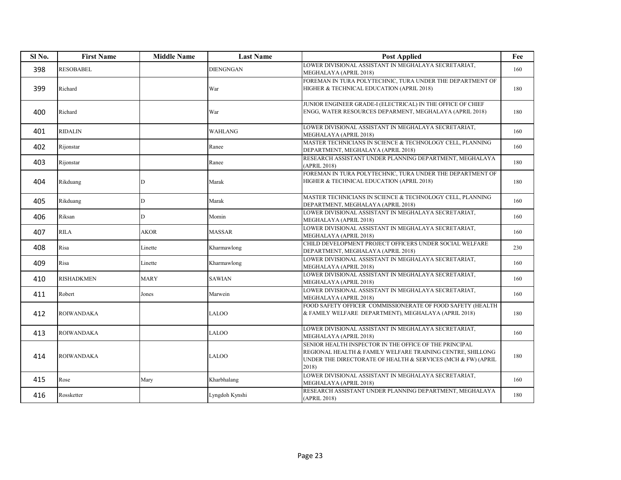| Sl <sub>No.</sub> | <b>First Name</b> | <b>Middle Name</b> | <b>Last Name</b> | <b>Post Applied</b>                                                                                                                                                                           | Fee |
|-------------------|-------------------|--------------------|------------------|-----------------------------------------------------------------------------------------------------------------------------------------------------------------------------------------------|-----|
| 398               | <b>RESOBABEL</b>  |                    | <b>DIENGNGAN</b> | LOWER DIVISIONAL ASSISTANT IN MEGHALAYA SECRETARIAT.<br>MEGHALAYA (APRIL 2018)                                                                                                                | 160 |
| 399               | Richard           |                    | War              | FOREMAN IN TURA POLYTECHNIC, TURA UNDER THE DEPARTMENT OF<br>HIGHER & TECHNICAL EDUCATION (APRIL 2018)                                                                                        | 180 |
| 400               | Richard           |                    | War              | JUNIOR ENGINEER GRADE-I (ELECTRICAL) IN THE OFFICE OF CHIEF<br>ENGG, WATER RESOURCES DEPARMENT, MEGHALAYA (APRIL 2018)                                                                        | 180 |
| 401               | <b>RIDALIN</b>    |                    | <b>WAHLANG</b>   | LOWER DIVISIONAL ASSISTANT IN MEGHALAYA SECRETARIAT,<br>MEGHALAYA (APRIL 2018)                                                                                                                | 160 |
| 402               | Rijonstar         |                    | Ranee            | MASTER TECHNICIANS IN SCIENCE & TECHNOLOGY CELL, PLANNING<br>DEPARTMENT, MEGHALAYA (APRIL 2018)                                                                                               | 160 |
| 403               | Rijonstar         |                    | Ranee            | RESEARCH ASSISTANT UNDER PLANNING DEPARTMENT, MEGHALAYA<br>(APRIL 2018)                                                                                                                       | 180 |
| 404               | Rikduang          | D                  | Marak            | FOREMAN IN TURA POLYTECHNIC, TURA UNDER THE DEPARTMENT OF<br>HIGHER & TECHNICAL EDUCATION (APRIL 2018)                                                                                        | 180 |
| 405               | Rikduang          | D                  | Marak            | MASTER TECHNICIANS IN SCIENCE & TECHNOLOGY CELL, PLANNING<br>DEPARTMENT, MEGHALAYA (APRIL 2018)                                                                                               | 160 |
| 406               | Riksan            | D                  | Momin            | LOWER DIVISIONAL ASSISTANT IN MEGHALAYA SECRETARIAT,<br>MEGHALAYA (APRIL 2018)                                                                                                                | 160 |
| 407               | <b>RILA</b>       | <b>AKOR</b>        | <b>MASSAR</b>    | LOWER DIVISIONAL ASSISTANT IN MEGHALAYA SECRETARIAT,<br>MEGHALAYA (APRIL 2018)                                                                                                                | 160 |
| 408               | Risa              | Linette            | Kharmawlong      | CHILD DEVELOPMENT PROJECT OFFICERS UNDER SOCIAL WELFARE<br>DEPARTMENT, MEGHALAYA (APRIL 2018)                                                                                                 | 230 |
| 409               | Risa              | Linette            | Kharmawlong      | LOWER DIVISIONAL ASSISTANT IN MEGHALAYA SECRETARIAT,<br>MEGHALAYA (APRIL 2018)                                                                                                                | 160 |
| 410               | <b>RISHADKMEN</b> | <b>MARY</b>        | <b>SAWIAN</b>    | LOWER DIVISIONAL ASSISTANT IN MEGHALAYA SECRETARIAT,<br>MEGHALAYA (APRIL 2018)                                                                                                                | 160 |
| 411               | Robert            | Jones              | Marwein          | LOWER DIVISIONAL ASSISTANT IN MEGHALAYA SECRETARIAT,<br>MEGHALAYA (APRIL 2018)                                                                                                                | 160 |
| 412               | <b>ROIWANDAKA</b> |                    | LALOO            | FOOD SAFETY OFFICER COMMISSIONERATE OF FOOD SAFETY (HEALTH<br>& FAMILY WELFARE DEPARTMENT), MEGHALAYA (APRIL 2018)                                                                            | 180 |
| 413               | <b>ROIWANDAKA</b> |                    | LALOO            | LOWER DIVISIONAL ASSISTANT IN MEGHALAYA SECRETARIAT,<br>MEGHALAYA (APRIL 2018)                                                                                                                | 160 |
| 414               | <b>ROIWANDAKA</b> |                    | <b>LALOO</b>     | SENIOR HEALTH INSPECTOR IN THE OFFICE OF THE PRINCIPAL<br>REGIONAL HEALTH & FAMILY WELFARE TRAINING CENTRE, SHILLONG<br>UNDER THE DIRECTORATE OF HEALTH & SERVICES (MCH & FW) (APRIL<br>2018) | 180 |
| 415               | Rose              | Mary               | Kharbhalang      | LOWER DIVISIONAL ASSISTANT IN MEGHALAYA SECRETARIAT,<br>MEGHALAYA (APRIL 2018)                                                                                                                | 160 |
| 416               | Rossketter        |                    | Lyngdoh Kynshi   | RESEARCH ASSISTANT UNDER PLANNING DEPARTMENT, MEGHALAYA<br>(APRIL 2018)                                                                                                                       | 180 |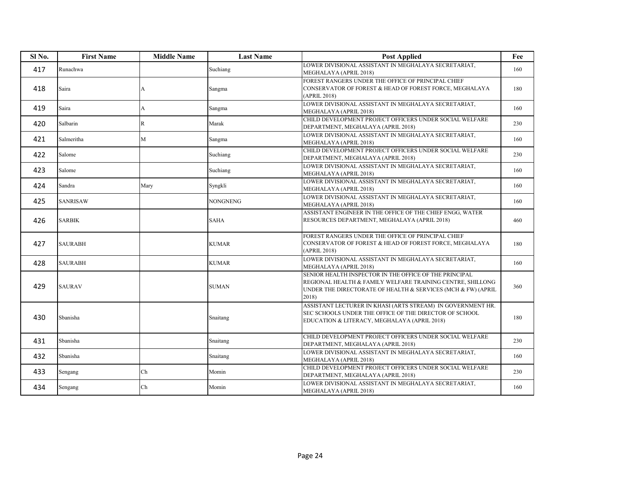| Sl <sub>No.</sub> | <b>First Name</b> | <b>Middle Name</b> | <b>Last Name</b> | <b>Post Applied</b>                                                                                                                                                                           | Fee |
|-------------------|-------------------|--------------------|------------------|-----------------------------------------------------------------------------------------------------------------------------------------------------------------------------------------------|-----|
| 417               | Runachwa          |                    | Suchiang         | LOWER DIVISIONAL ASSISTANT IN MEGHALAYA SECRETARIAT.<br>MEGHALAYA (APRIL 2018)                                                                                                                | 160 |
| 418               | Saira             | А                  | Sangma           | FOREST RANGERS UNDER THE OFFICE OF PRINCIPAL CHIEF<br>CONSERVATOR OF FOREST & HEAD OF FOREST FORCE, MEGHALAYA<br>(APRIL 2018)                                                                 | 180 |
| 419               | Saira             | А                  | Sangma           | LOWER DIVISIONAL ASSISTANT IN MEGHALAYA SECRETARIAT,<br>MEGHALAYA (APRIL 2018)                                                                                                                | 160 |
| 420               | Salbarin          | $\mathbb{R}$       | Marak            | CHILD DEVELOPMENT PROJECT OFFICERS UNDER SOCIAL WELFARE<br>DEPARTMENT, MEGHALAYA (APRIL 2018)                                                                                                 | 230 |
| 421               | Salmeritha        | M                  | Sangma           | LOWER DIVISIONAL ASSISTANT IN MEGHALAYA SECRETARIAT,<br>MEGHALAYA (APRIL 2018)                                                                                                                | 160 |
| 422               | Salome            |                    | Suchiang         | CHILD DEVELOPMENT PROJECT OFFICERS UNDER SOCIAL WELFARE<br>DEPARTMENT, MEGHALAYA (APRIL 2018)                                                                                                 | 230 |
| 423               | Salome            |                    | Suchiang         | LOWER DIVISIONAL ASSISTANT IN MEGHALAYA SECRETARIAT,<br>MEGHALAYA (APRIL 2018)                                                                                                                | 160 |
| 424               | Sandra            | Mary               | Syngkli          | LOWER DIVISIONAL ASSISTANT IN MEGHALAYA SECRETARIAT,<br>MEGHALAYA (APRIL 2018)                                                                                                                | 160 |
| 425               | <b>SANRISAW</b>   |                    | <b>NONGNENG</b>  | LOWER DIVISIONAL ASSISTANT IN MEGHALAYA SECRETARIAT,<br>MEGHALAYA (APRIL 2018)                                                                                                                | 160 |
| 426               | <b>SARBIK</b>     |                    | <b>SAHA</b>      | ASSISTANT ENGINEER IN THE OFFICE OF THE CHIEF ENGG, WATER<br>RESOURCES DEPARTMENT, MEGHALAYA (APRIL 2018)                                                                                     | 460 |
| 427               | <b>SAURABH</b>    |                    | <b>KUMAR</b>     | FOREST RANGERS UNDER THE OFFICE OF PRINCIPAL CHIEF<br>CONSERVATOR OF FOREST & HEAD OF FOREST FORCE, MEGHALAYA<br>(APRIL 2018)                                                                 | 180 |
| 428               | <b>SAURABH</b>    |                    | <b>KUMAR</b>     | LOWER DIVISIONAL ASSISTANT IN MEGHALAYA SECRETARIAT,<br>MEGHALAYA (APRIL 2018)                                                                                                                | 160 |
| 429               | <b>SAURAV</b>     |                    | <b>SUMAN</b>     | SENIOR HEALTH INSPECTOR IN THE OFFICE OF THE PRINCIPAL<br>REGIONAL HEALTH & FAMILY WELFARE TRAINING CENTRE, SHILLONG<br>UNDER THE DIRECTORATE OF HEALTH & SERVICES (MCH & FW) (APRIL<br>2018) | 360 |
| 430               | Sbanisha          |                    | Snaitang         | ASSISTANT LECTURER IN KHASI (ARTS STREAM) IN GOVERNMENT HR.<br>SEC SCHOOLS UNDER THE OFFICE OF THE DIRECTOR OF SCHOOL<br>EDUCATION & LITERACY, MEGHALAYA (APRIL 2018)                         | 180 |
| 431               | Sbanisha          |                    | Snaitang         | CHILD DEVELOPMENT PROJECT OFFICERS UNDER SOCIAL WELFARE<br>DEPARTMENT, MEGHALAYA (APRIL 2018)                                                                                                 | 230 |
| 432               | Sbanisha          |                    | Snaitang         | LOWER DIVISIONAL ASSISTANT IN MEGHALAYA SECRETARIAT,<br>MEGHALAYA (APRIL 2018)                                                                                                                | 160 |
| 433               | Sengang           | Ch                 | Momin            | CHILD DEVELOPMENT PROJECT OFFICERS UNDER SOCIAL WELFARE<br>DEPARTMENT, MEGHALAYA (APRIL 2018)                                                                                                 | 230 |
| 434               | Sengang           | Ch                 | Momin            | LOWER DIVISIONAL ASSISTANT IN MEGHALAYA SECRETARIAT,<br>MEGHALAYA (APRIL 2018)                                                                                                                | 160 |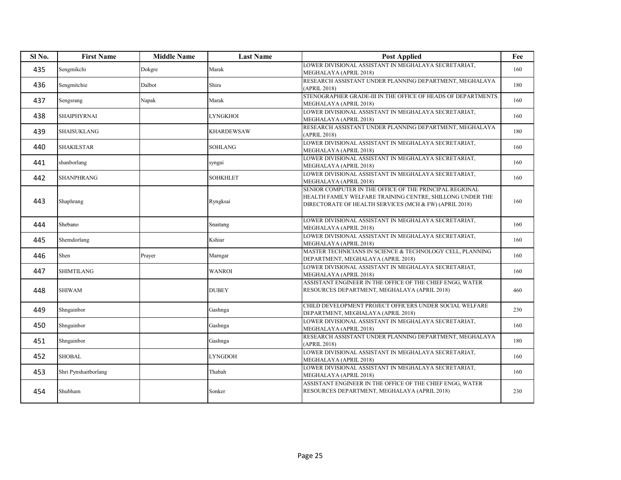| Sl No. | <b>First Name</b>    | <b>Middle Name</b> | <b>Last Name</b>  | <b>Post Applied</b>                                                                                                                                                            | Fee |
|--------|----------------------|--------------------|-------------------|--------------------------------------------------------------------------------------------------------------------------------------------------------------------------------|-----|
| 435    | Sengmikchi           | Dokgre             | Marak             | LOWER DIVISIONAL ASSISTANT IN MEGHALAYA SECRETARIAT,<br>MEGHALAYA (APRIL 2018)                                                                                                 | 160 |
| 436    | Sengmitchie          | Dalbot             | Shira             | RESEARCH ASSISTANT UNDER PLANNING DEPARTMENT, MEGHALAYA<br>(APRIL 2018)                                                                                                        | 180 |
| 437    | Sengsrang            | Napak              | Marak             | STENOGRAPHER GRADE-III IN THE OFFICE OF HEADS OF DEPARTMENTS.<br>MEGHALAYA (APRIL 2018)                                                                                        | 160 |
| 438    | SHAIPHYRNAI          |                    | <b>LYNGKHOI</b>   | LOWER DIVISIONAL ASSISTANT IN MEGHALAYA SECRETARIAT,<br>MEGHALAYA (APRIL 2018)                                                                                                 | 160 |
| 439    | SHAISUKLANG          |                    | <b>KHARDEWSAW</b> | RESEARCH ASSISTANT UNDER PLANNING DEPARTMENT, MEGHALAYA<br>(APRIL 2018)                                                                                                        | 180 |
| 440    | <b>SHAKILSTAR</b>    |                    | <b>SOHLANG</b>    | LOWER DIVISIONAL ASSISTANT IN MEGHALAYA SECRETARIAT,<br>MEGHALAYA (APRIL 2018)                                                                                                 | 160 |
| 441    | shanborlang          |                    | syngai            | LOWER DIVISIONAL ASSISTANT IN MEGHALAYA SECRETARIAT,<br>MEGHALAYA (APRIL 2018)                                                                                                 | 160 |
| 442    | SHANPHRANG           |                    | <b>SOHKHLET</b>   | LOWER DIVISIONAL ASSISTANT IN MEGHALAYA SECRETARIAT,<br>MEGHALAYA (APRIL 2018)                                                                                                 | 160 |
| 443    | Shaphrang            |                    | Ryngksai          | SENIOR COMPUTER IN THE OFFICE OF THE PRINCIPAL REGIONAL<br>HEALTH FAMILY WELFARE TRAINING CENTRE, SHILLONG UNDER THE<br>DIRECTORATE OF HEALTH SERVICES (MCH & FW) (APRIL 2018) | 160 |
| 444    | Shebano              |                    | Snaitang          | LOWER DIVISIONAL ASSISTANT IN MEGHALAYA SECRETARIAT,<br>MEGHALAYA (APRIL 2018)                                                                                                 | 160 |
| 445    | Shemdorlang          |                    | Kshiar            | LOWER DIVISIONAL ASSISTANT IN MEGHALAYA SECRETARIAT,<br>MEGHALAYA (APRIL 2018)                                                                                                 | 160 |
| 446    | Shen                 | Prayer             | Marngar           | MASTER TECHNICIANS IN SCIENCE & TECHNOLOGY CELL, PLANNING<br>DEPARTMENT, MEGHALAYA (APRIL 2018)                                                                                | 160 |
| 447    | <b>SHIMTILANG</b>    |                    | <b>WANROI</b>     | LOWER DIVISIONAL ASSISTANT IN MEGHALAYA SECRETARIAT,<br>MEGHALAYA (APRIL 2018)                                                                                                 | 160 |
| 448    | <b>SHIWAM</b>        |                    | <b>DUBEY</b>      | ASSISTANT ENGINEER IN THE OFFICE OF THE CHIEF ENGG, WATER<br>RESOURCES DEPARTMENT, MEGHALAYA (APRIL 2018)                                                                      | 460 |
| 449    | Shngainbor           |                    | Gashnga           | CHILD DEVELOPMENT PROJECT OFFICERS UNDER SOCIAL WELFARE<br>DEPARTMENT, MEGHALAYA (APRIL 2018)                                                                                  | 230 |
| 450    | Shngainbor           |                    | Gashnga           | LOWER DIVISIONAL ASSISTANT IN MEGHALAYA SECRETARIAT,<br>MEGHALAYA (APRIL 2018)                                                                                                 | 160 |
| 451    | Shngainbor           |                    | Gashnga           | RESEARCH ASSISTANT UNDER PLANNING DEPARTMENT, MEGHALAYA<br>(APRIL 2018)                                                                                                        | 180 |
| 452    | <b>SHOBAL</b>        |                    | LYNGDOH           | LOWER DIVISIONAL ASSISTANT IN MEGHALAYA SECRETARIAT,<br>MEGHALAYA (APRIL 2018)                                                                                                 | 160 |
| 453    | Shri Pynshaitborlang |                    | Thabah            | LOWER DIVISIONAL ASSISTANT IN MEGHALAYA SECRETARIAT,<br>MEGHALAYA (APRIL 2018)                                                                                                 | 160 |
| 454    | Shubham              |                    | Sonker            | ASSISTANT ENGINEER IN THE OFFICE OF THE CHIEF ENGG, WATER<br>RESOURCES DEPARTMENT, MEGHALAYA (APRIL 2018)                                                                      | 230 |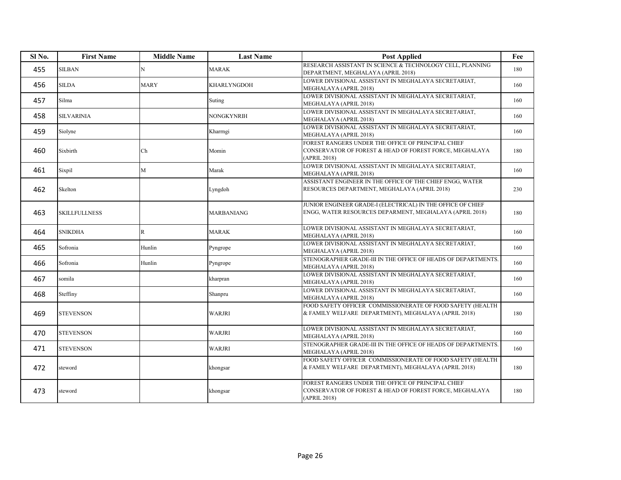| Sl <sub>No.</sub> | <b>First Name</b>    | <b>Middle Name</b> | <b>Last Name</b> | <b>Post Applied</b>                                                                                                           | Fee |
|-------------------|----------------------|--------------------|------------------|-------------------------------------------------------------------------------------------------------------------------------|-----|
| 455               | <b>SILBAN</b>        | N                  | <b>MARAK</b>     | RESEARCH ASSISTANT IN SCIENCE & TECHNOLOGY CELL, PLANNING<br>DEPARTMENT, MEGHALAYA (APRIL 2018)                               | 180 |
| 456               | <b>SILDA</b>         | <b>MARY</b>        | KHARLYNGDOH      | LOWER DIVISIONAL ASSISTANT IN MEGHALAYA SECRETARIAT.<br>MEGHALAYA (APRIL 2018)                                                | 160 |
| 457               | Silma                |                    | Suting           | LOWER DIVISIONAL ASSISTANT IN MEGHALAYA SECRETARIAT,<br>MEGHALAYA (APRIL 2018)                                                | 160 |
| 458               | <b>SILVARINIA</b>    |                    | NONGKYNRIH       | LOWER DIVISIONAL ASSISTANT IN MEGHALAYA SECRETARIAT,<br>MEGHALAYA (APRIL 2018)                                                | 160 |
| 459               | Siolyne              |                    | Kharrngi         | LOWER DIVISIONAL ASSISTANT IN MEGHALAYA SECRETARIAT,<br>MEGHALAYA (APRIL 2018)                                                | 160 |
| 460               | Sixbirth             | Ch                 | Momin            | FOREST RANGERS UNDER THE OFFICE OF PRINCIPAL CHIEF<br>CONSERVATOR OF FOREST & HEAD OF FOREST FORCE, MEGHALAYA<br>(APRIL 2018) | 180 |
| 461               | Sixpil               | M                  | Marak            | LOWER DIVISIONAL ASSISTANT IN MEGHALAYA SECRETARIAT,<br>MEGHALAYA (APRIL 2018)                                                | 160 |
| 462               | Skelton              |                    | Lyngdoh          | ASSISTANT ENGINEER IN THE OFFICE OF THE CHIEF ENGG, WATER<br>RESOURCES DEPARTMENT, MEGHALAYA (APRIL 2018)                     | 230 |
| 463               | <b>SKILLFULLNESS</b> |                    | MARBANIANG       | JUNIOR ENGINEER GRADE-I (ELECTRICAL) IN THE OFFICE OF CHIEF<br>ENGG, WATER RESOURCES DEPARMENT, MEGHALAYA (APRIL 2018)        | 180 |
| 464               | <b>SNIKDHA</b>       | $\mathbb{R}$       | <b>MARAK</b>     | LOWER DIVISIONAL ASSISTANT IN MEGHALAYA SECRETARIAT,<br>MEGHALAYA (APRIL 2018)                                                | 160 |
| 465               | Sofronia             | Hunlin             | Pyngrope         | LOWER DIVISIONAL ASSISTANT IN MEGHALAYA SECRETARIAT,<br>MEGHALAYA (APRIL 2018)                                                | 160 |
| 466               | Sofronia             | Hunlin             | Pyngrope         | STENOGRAPHER GRADE-III IN THE OFFICE OF HEADS OF DEPARTMENTS.<br>MEGHALAYA (APRIL 2018)                                       | 160 |
| 467               | somila               |                    | kharpran         | LOWER DIVISIONAL ASSISTANT IN MEGHALAYA SECRETARIAT,<br>MEGHALAYA (APRIL 2018)                                                | 160 |
| 468               | Steffiny             |                    | Shanpru          | LOWER DIVISIONAL ASSISTANT IN MEGHALAYA SECRETARIAT,<br>MEGHALAYA (APRIL 2018)                                                | 160 |
| 469               | <b>STEVENSON</b>     |                    | <b>WARJRI</b>    | FOOD SAFETY OFFICER COMMISSIONERATE OF FOOD SAFETY (HEALTH<br>& FAMILY WELFARE DEPARTMENT), MEGHALAYA (APRIL 2018)            | 180 |
| 470               | <b>STEVENSON</b>     |                    | <b>WARJRI</b>    | LOWER DIVISIONAL ASSISTANT IN MEGHALAYA SECRETARIAT,<br>MEGHALAYA (APRIL 2018)                                                | 160 |
| 471               | <b>STEVENSON</b>     |                    | <b>WARJRI</b>    | STENOGRAPHER GRADE-III IN THE OFFICE OF HEADS OF DEPARTMENTS.<br>MEGHALAYA (APRIL 2018)                                       | 160 |
| 472               | steword              |                    | khongsar         | FOOD SAFETY OFFICER COMMISSIONERATE OF FOOD SAFETY (HEALTH<br>& FAMILY WELFARE DEPARTMENT), MEGHALAYA (APRIL 2018)            | 180 |
| 473               | steword              |                    | khongsar         | FOREST RANGERS UNDER THE OFFICE OF PRINCIPAL CHIEF<br>CONSERVATOR OF FOREST & HEAD OF FOREST FORCE, MEGHALAYA<br>(APRIL 2018) | 180 |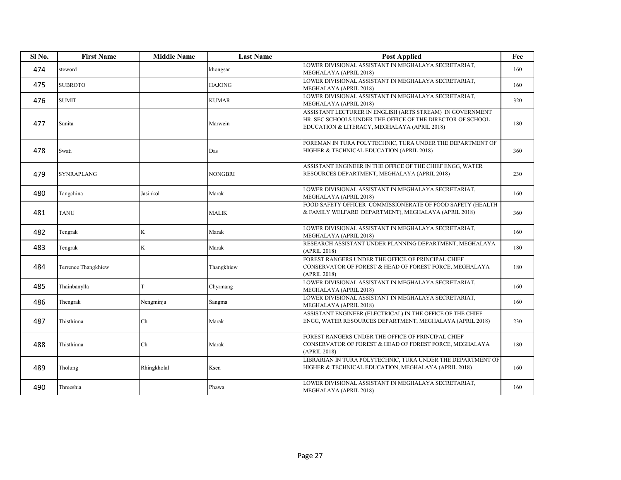| Sl No. | <b>First Name</b>   | <b>Middle Name</b> | <b>Last Name</b> | <b>Post Applied</b>                                                                                                                                                     | Fee |
|--------|---------------------|--------------------|------------------|-------------------------------------------------------------------------------------------------------------------------------------------------------------------------|-----|
| 474    | steword             |                    | khongsar         | LOWER DIVISIONAL ASSISTANT IN MEGHALAYA SECRETARIAT,<br>MEGHALAYA (APRIL 2018)                                                                                          | 160 |
| 475    | <b>SUBROTO</b>      |                    | <b>HAJONG</b>    | LOWER DIVISIONAL ASSISTANT IN MEGHALAYA SECRETARIAT,<br>MEGHALAYA (APRIL 2018)                                                                                          | 160 |
| 476    | <b>SUMIT</b>        |                    | <b>KUMAR</b>     | LOWER DIVISIONAL ASSISTANT IN MEGHALAYA SECRETARIAT,<br>MEGHALAYA (APRIL 2018)                                                                                          | 320 |
| 477    | Sunita              |                    | Marwein          | ASSISTANT LECTURER IN ENGLISH (ARTS STREAM) IN GOVERNMENT<br>HR. SEC SCHOOLS UNDER THE OFFICE OF THE DIRECTOR OF SCHOOL<br>EDUCATION & LITERACY, MEGHALAYA (APRIL 2018) | 180 |
| 478    | Swati               |                    | Das              | FOREMAN IN TURA POLYTECHNIC, TURA UNDER THE DEPARTMENT OF<br>HIGHER & TECHNICAL EDUCATION (APRIL 2018)                                                                  | 360 |
| 479    | <b>SYNRAPLANG</b>   |                    | <b>NONGBRI</b>   | ASSISTANT ENGINEER IN THE OFFICE OF THE CHIEF ENGG, WATER<br>RESOURCES DEPARTMENT, MEGHALAYA (APRIL 2018)                                                               | 230 |
| 480    | Tangchina           | Jasinkol           | Marak            | LOWER DIVISIONAL ASSISTANT IN MEGHALAYA SECRETARIAT,<br>MEGHALAYA (APRIL 2018)                                                                                          | 160 |
| 481    | <b>TANU</b>         |                    | MALIK            | FOOD SAFETY OFFICER COMMISSIONERATE OF FOOD SAFETY (HEALTH<br>& FAMILY WELFARE DEPARTMENT), MEGHALAYA (APRIL 2018)                                                      | 360 |
| 482    | Tengrak             | K                  | Marak            | LOWER DIVISIONAL ASSISTANT IN MEGHALAYA SECRETARIAT,<br>MEGHALAYA (APRIL 2018)                                                                                          | 160 |
| 483    | Tengrak             | K                  | Marak            | RESEARCH ASSISTANT UNDER PLANNING DEPARTMENT, MEGHALAYA<br>(APRIL 2018)                                                                                                 | 180 |
| 484    | Terrence Thangkhiew |                    | Thangkhiew       | FOREST RANGERS UNDER THE OFFICE OF PRINCIPAL CHIEF<br>CONSERVATOR OF FOREST & HEAD OF FOREST FORCE, MEGHALAYA<br>(APRIL 2018)                                           | 180 |
| 485    | Thainbanylla        | T                  | Chyrmang         | LOWER DIVISIONAL ASSISTANT IN MEGHALAYA SECRETARIAT,<br>MEGHALAYA (APRIL 2018)                                                                                          | 160 |
| 486    | Thengrak            | Nengminja          | Sangma           | LOWER DIVISIONAL ASSISTANT IN MEGHALAYA SECRETARIAT,<br>MEGHALAYA (APRIL 2018)                                                                                          | 160 |
| 487    | Thisthinna          | Ch                 | Marak            | ASSISTANT ENGINEER (ELECTRICAL) IN THE OFFICE OF THE CHIEF<br>ENGG, WATER RESOURCES DEPARTMENT, MEGHALAYA (APRIL 2018)                                                  | 230 |
| 488    | Thisthinna          | Ch                 | Marak            | FOREST RANGERS UNDER THE OFFICE OF PRINCIPAL CHIEF<br>CONSERVATOR OF FOREST & HEAD OF FOREST FORCE, MEGHALAYA<br>(APRIL 2018)                                           | 180 |
| 489    | Tholung             | Rhingkholal        | Ksen             | LIBRARIAN IN TURA POLYTECHNIC, TURA UNDER THE DEPARTMENT OF<br>HIGHER & TECHNICAL EDUCATION, MEGHALAYA (APRIL 2018)                                                     | 160 |
| 490    | Threeshia           |                    | Phawa            | LOWER DIVISIONAL ASSISTANT IN MEGHALAYA SECRETARIAT,<br>MEGHALAYA (APRIL 2018)                                                                                          | 160 |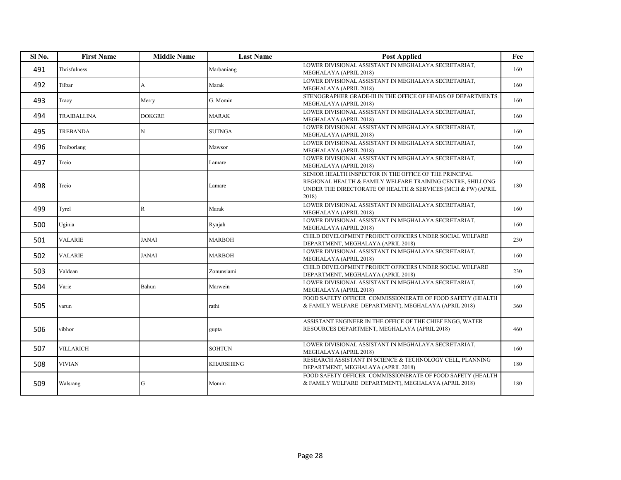| Sl <sub>No.</sub> | <b>First Name</b> | <b>Middle Name</b> | <b>Last Name</b> | <b>Post Applied</b>                                                                                                                                                                           | Fee |
|-------------------|-------------------|--------------------|------------------|-----------------------------------------------------------------------------------------------------------------------------------------------------------------------------------------------|-----|
| 491               | Thrisfulness      |                    | Marbaniang       | LOWER DIVISIONAL ASSISTANT IN MEGHALAYA SECRETARIAT.<br>MEGHALAYA (APRIL 2018)                                                                                                                | 160 |
| 492               | Tilbar            | А                  | Marak            | LOWER DIVISIONAL ASSISTANT IN MEGHALAYA SECRETARIAT,<br>MEGHALAYA (APRIL 2018)                                                                                                                | 160 |
| 493               | Tracy             | Merry              | G. Momin         | STENOGRAPHER GRADE-III IN THE OFFICE OF HEADS OF DEPARTMENTS.<br>MEGHALAYA (APRIL 2018)                                                                                                       | 160 |
| 494               | TRAIBALLINA       | DOKGRE             | <b>MARAK</b>     | LOWER DIVISIONAL ASSISTANT IN MEGHALAYA SECRETARIAT,<br>MEGHALAYA (APRIL 2018)                                                                                                                | 160 |
| 495               | <b>TREBANDA</b>   | N                  | <b>SUTNGA</b>    | LOWER DIVISIONAL ASSISTANT IN MEGHALAYA SECRETARIAT,<br>MEGHALAYA (APRIL 2018)                                                                                                                | 160 |
| 496               | Treiborlang       |                    | Mawsor           | LOWER DIVISIONAL ASSISTANT IN MEGHALAYA SECRETARIAT,<br>MEGHALAYA (APRIL 2018)                                                                                                                | 160 |
| 497               | Treio             |                    | Lamare           | LOWER DIVISIONAL ASSISTANT IN MEGHALAYA SECRETARIAT,<br>MEGHALAYA (APRIL 2018)                                                                                                                | 160 |
| 498               | Treio             |                    | Lamare           | SENIOR HEALTH INSPECTOR IN THE OFFICE OF THE PRINCIPAL<br>REGIONAL HEALTH & FAMILY WELFARE TRAINING CENTRE, SHILLONG<br>UNDER THE DIRECTORATE OF HEALTH & SERVICES (MCH & FW) (APRIL<br>2018) | 180 |
| 499               | Tyrel             | R                  | Marak            | LOWER DIVISIONAL ASSISTANT IN MEGHALAYA SECRETARIAT,<br>MEGHALAYA (APRIL 2018)                                                                                                                | 160 |
| 500               | Uginia            |                    | Rynjah           | LOWER DIVISIONAL ASSISTANT IN MEGHALAYA SECRETARIAT,<br>MEGHALAYA (APRIL 2018)                                                                                                                | 160 |
| 501               | <b>VALARIE</b>    | JANAI              | MARBOH           | CHILD DEVELOPMENT PROJECT OFFICERS UNDER SOCIAL WELFARE<br>DEPARTMENT, MEGHALAYA (APRIL 2018)                                                                                                 | 230 |
| 502               | <b>VALARIE</b>    | <b>JANAI</b>       | <b>MARBOH</b>    | LOWER DIVISIONAL ASSISTANT IN MEGHALAYA SECRETARIAT,<br>MEGHALAYA (APRIL 2018)                                                                                                                | 160 |
| 503               | Valdean           |                    | Zonunsiami       | CHILD DEVELOPMENT PROJECT OFFICERS UNDER SOCIAL WELFARE<br>DEPARTMENT, MEGHALAYA (APRIL 2018)                                                                                                 | 230 |
| 504               | Varie             | Bahun              | Marwein          | LOWER DIVISIONAL ASSISTANT IN MEGHALAYA SECRETARIAT,<br>MEGHALAYA (APRIL 2018)                                                                                                                | 160 |
| 505               | varun             |                    | rathi            | FOOD SAFETY OFFICER COMMISSIONERATE OF FOOD SAFETY (HEALTH<br>& FAMILY WELFARE DEPARTMENT), MEGHALAYA (APRIL 2018)                                                                            | 360 |
| 506               | vibhor            |                    | gupta            | ASSISTANT ENGINEER IN THE OFFICE OF THE CHIEF ENGG, WATER<br>RESOURCES DEPARTMENT, MEGHALAYA (APRIL 2018)                                                                                     | 460 |
| 507               | <b>VILLARICH</b>  |                    | <b>SOHTUN</b>    | LOWER DIVISIONAL ASSISTANT IN MEGHALAYA SECRETARIAT,<br>MEGHALAYA (APRIL 2018)                                                                                                                | 160 |
| 508               | <b>VIVIAN</b>     |                    | KHARSHIING       | RESEARCH ASSISTANT IN SCIENCE & TECHNOLOGY CELL, PLANNING<br>DEPARTMENT, MEGHALAYA (APRIL 2018)                                                                                               | 180 |
| 509               | Walsrang          | G                  | Momin            | FOOD SAFETY OFFICER COMMISSIONERATE OF FOOD SAFETY (HEALTH<br>& FAMILY WELFARE DEPARTMENT), MEGHALAYA (APRIL 2018)                                                                            | 180 |